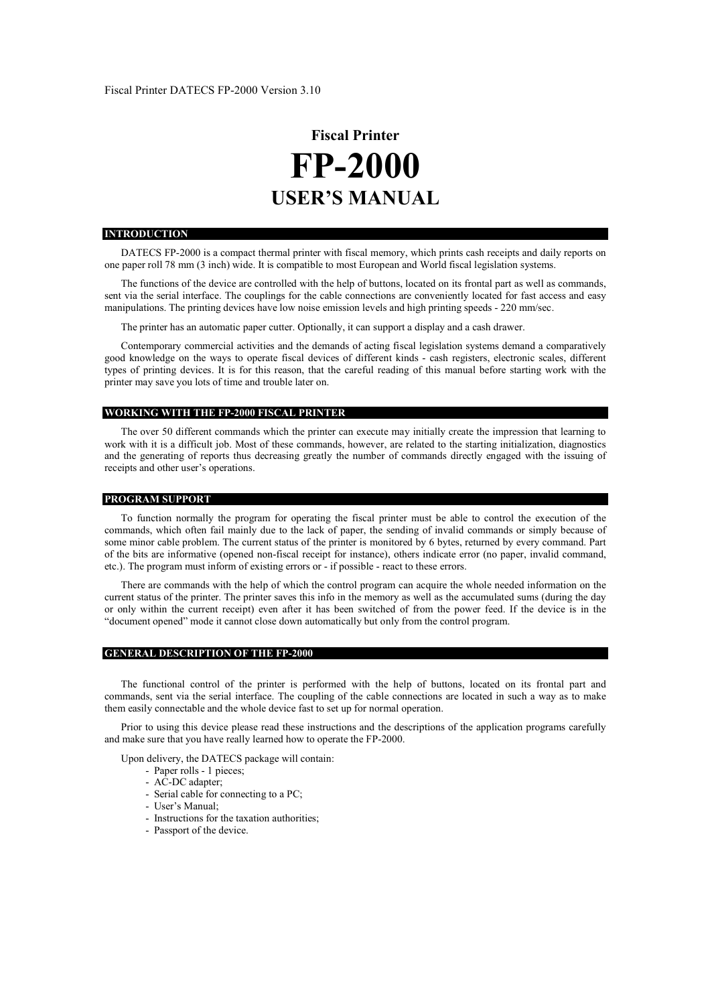# **Fiscal Printer FP-2000 USER'S MANUAL**

#### **INTRODUCTION**

DATECS FP-2000 is a compact thermal printer with fiscal memory, which prints cash receipts and daily reports on one paper roll 78 mm (3 inch) wide. It is compatible to most European and World fiscal legislation systems.

The functions of the device are controlled with the help of buttons, located on its frontal part as well as commands, sent via the serial interface. The couplings for the cable connections are conveniently located for fast access and easy manipulations. The printing devices have low noise emission levels and high printing speeds - 220 mm/sec.

The printer has an automatic paper cutter. Optionally, it can support a display and a cash drawer.

Contemporary commercial activities and the demands of acting fiscal legislation systems demand a comparatively good knowledge on the ways to operate fiscal devices of different kinds - cash registers, electronic scales, different types of printing devices. It is for this reason, that the careful reading of this manual before starting work with the printer may save you lots of time and trouble later on.

## **WORKING WITH THE FP-2000 FISCAL PRINTER**

The over 50 different commands which the printer can execute may initially create the impression that learning to work with it is a difficult job. Most of these commands, however, are related to the starting initialization, diagnostics and the generating of reports thus decreasing greatly the number of commands directly engaged with the issuing of receipts and other user's operations.

#### **PROGRAM SUPPORT**

To function normally the program for operating the fiscal printer must be able to control the execution of the commands, which often fail mainly due to the lack of paper, the sending of invalid commands or simply because of some minor cable problem. The current status of the printer is monitored by 6 bytes, returned by every command. Part of the bits are informative (opened non-fiscal receipt for instance), others indicate error (no paper, invalid command, etc.). The program must inform of existing errors or - if possible - react to these errors.

There are commands with the help of which the control program can acquire the whole needed information on the current status of the printer. The printer saves this info in the memory as well as the accumulated sums (during the day or only within the current receipt) even after it has been switched of from the power feed. If the device is in the "document opened" mode it cannot close down automatically but only from the control program.

#### **GENERAL DESCRIPTION OF THE FP-2000**

The functional control of the printer is performed with the help of buttons, located on its frontal part and commands, sent via the serial interface. The coupling of the cable connections are located in such a way as to make them easily connectable and the whole device fast to set up for normal operation.

Prior to using this device please read these instructions and the descriptions of the application programs carefully and make sure that you have really learned how to operate the FP-2000.

Upon delivery, the DATECS package will contain:

- Paper rolls 1 pieces;
- AC-DC adapter;
- Serial cable for connecting to a PC;
- User's Manual;
- Instructions for the taxation authorities;
- Passport of the device.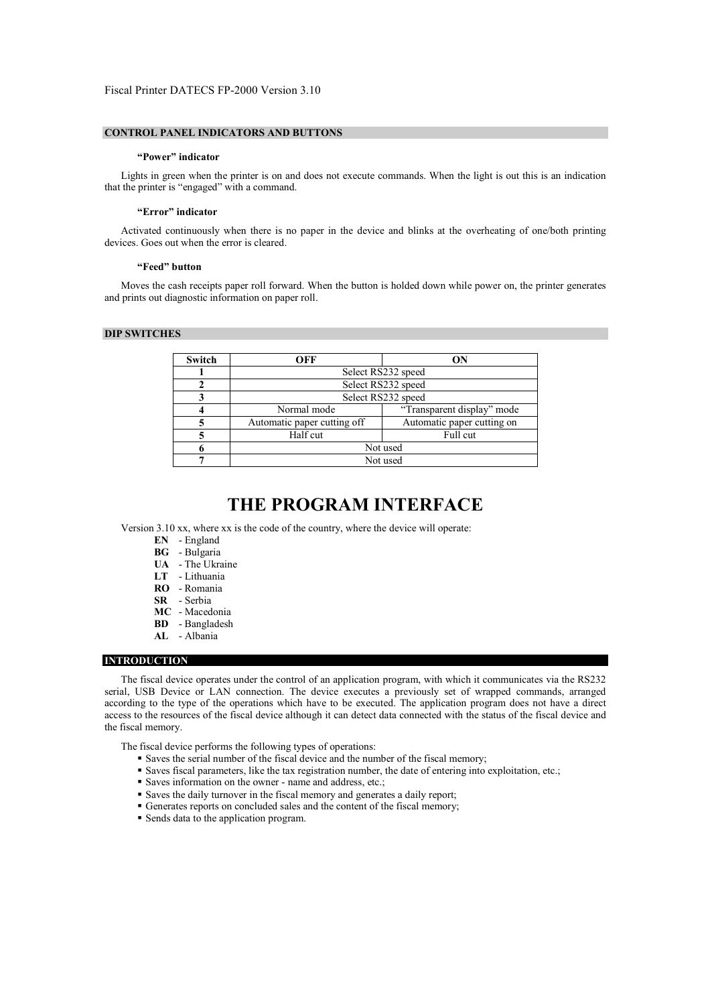## **CONTROL PANEL INDICATORS AND BUTTONS**

#### **"Power" indicator**

Lights in green when the printer is on and does not execute commands. When the light is out this is an indication that the printer is "engaged" with a command.

#### **"Error" indicator**

Activated continuously when there is no paper in the device and blinks at the overheating of one/both printing devices. Goes out when the error is cleared.

#### **"Feed" button**

Moves the cash receipts paper roll forward. When the button is holded down while power on, the printer generates and prints out diagnostic information on paper roll.

# **DIP SWITCHES**

| Switch | ON<br>OFF                                                 |                    |
|--------|-----------------------------------------------------------|--------------------|
|        |                                                           | Select RS232 speed |
|        |                                                           | Select RS232 speed |
|        |                                                           | Select RS232 speed |
|        | "Transparent display" mode<br>Normal mode                 |                    |
|        | Automatic paper cutting on<br>Automatic paper cutting off |                    |
|        | Half cut<br>Full cut                                      |                    |
|        | Not used                                                  |                    |
|        | Not used                                                  |                    |

# **THE PROGRAM INTERFACE**

Version 3.10 xx, where xx is the code of the country, where the device will operate:

- **EN**  England
- **BG**  Bulgaria
- **UA**  The Ukraine
- **LT**  Lithuania
- **RO**  Romania
- **SR**  Serbia
- **MC**  Macedonia
- **BD** Bangladesh
- **AL** Albania

# **INTRODUCTION**

The fiscal device operates under the control of an application program, with which it communicates via the RS232 serial, USB Device or LAN connection. The device executes a previously set of wrapped commands, arranged according to the type of the operations which have to be executed. The application program does not have a direct access to the resources of the fiscal device although it can detect data connected with the status of the fiscal device and the fiscal memory.

The fiscal device performs the following types of operations:

- Saves the serial number of the fiscal device and the number of the fiscal memory;
- Saves fiscal parameters, like the tax registration number, the date of entering into exploitation, etc.;
- Saves information on the owner name and address, etc.;
- Saves the daily turnover in the fiscal memory and generates a daily report;
- Generates reports on concluded sales and the content of the fiscal memory;
- Sends data to the application program.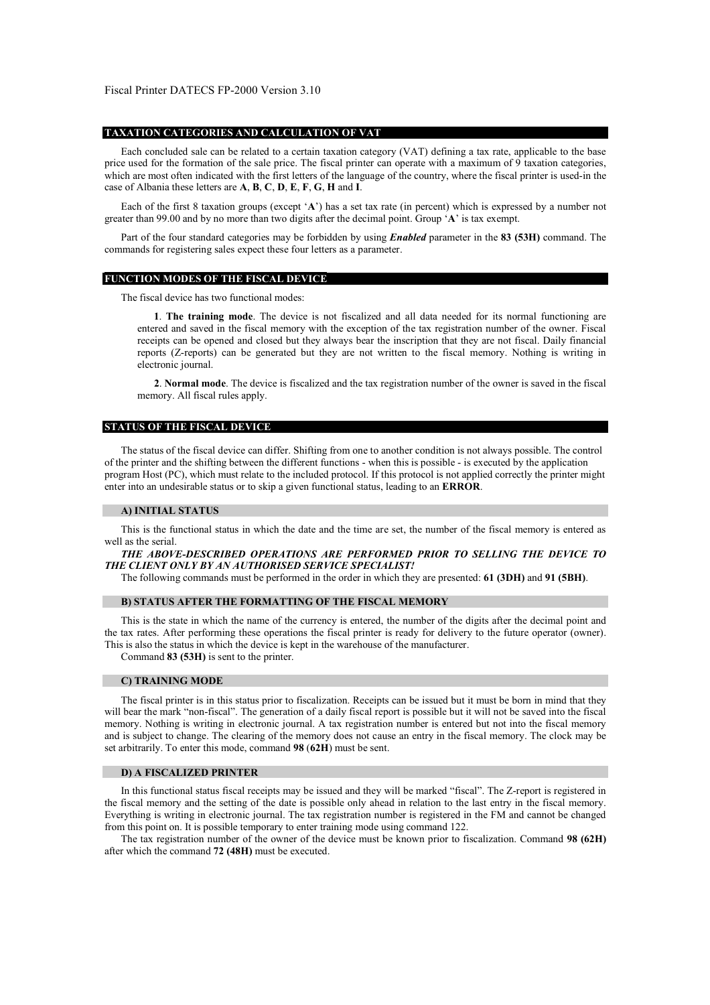#### **TAXATION CATEGORIES AND CALCULATION OF VAT**

Each concluded sale can be related to a certain taxation category (VAT) defining a tax rate, applicable to the base price used for the formation of the sale price. The fiscal printer can operate with a maximum of 9 taxation categories, which are most often indicated with the first letters of the language of the country, where the fiscal printer is used-in the case of Albania these letters are **A**, **B**, **C**, **D**, **E**, **F**, **G**, **H** and **I**.

Each of the first 8 taxation groups (except '**A**') has a set tax rate (in percent) which is expressed by a number not greater than 99.00 and by no more than two digits after the decimal point. Group '**A**' is tax exempt.

Part of the four standard categories may be forbidden by using *Enabled* parameter in the **83 (53H)** command. The commands for registering sales expect these four letters as a parameter.

#### **FUNCTION MODES OF THE FISCAL DEVICE**

The fiscal device has two functional modes:

**1**. **The training mode**. The device is not fiscalized and all data needed for its normal functioning are entered and saved in the fiscal memory with the exception of the tax registration number of the owner. Fiscal receipts can be opened and closed but they always bear the inscription that they are not fiscal. Daily financial reports (Z-reports) can be generated but they are not written to the fiscal memory. Nothing is writing in electronic journal.

**2**. **Normal mode**. The device is fiscalized and the tax registration number of the owner is saved in the fiscal memory. All fiscal rules apply.

# **STATUS OF THE FISCAL DEVICE**

The status of the fiscal device can differ. Shifting from one to another condition is not always possible. The control of the printer and the shifting between the different functions - when this is possible - is executed by the application program Host (PC), which must relate to the included protocol. If this protocol is not applied correctly the printer might enter into an undesirable status or to skip a given functional status, leading to an **ERROR**.

#### **A) INITIAL STATUS**

This is the functional status in which the date and the time are set, the number of the fiscal memory is entered as well as the serial.

*THE ABOVE-DESCRIBED OPERATIONS ARE PERFORMED PRIOR TO SELLING THE DEVICE TO THE CLIENT ONLY BY AN AUTHORISED SERVICE SPECIALIST!* 

The following commands must be performed in the order in which they are presented: **61 (3DH)** and **91 (5BH)**.

#### **B) STATUS AFTER THE FORMATTING OF THE FISCAL MEMORY**

This is the state in which the name of the currency is entered, the number of the digits after the decimal point and the tax rates. After performing these operations the fiscal printer is ready for delivery to the future operator (owner). This is also the status in which the device is kept in the warehouse of the manufacturer.

Command **83 (53H)** is sent to the printer.

#### **C) TRAINING MODE**

The fiscal printer is in this status prior to fiscalization. Receipts can be issued but it must be born in mind that they will bear the mark "non-fiscal". The generation of a daily fiscal report is possible but it will not be saved into the fiscal memory. Nothing is writing in electronic journal. A tax registration number is entered but not into the fiscal memory and is subject to change. The clearing of the memory does not cause an entry in the fiscal memory. The clock may be set arbitrarily. To enter this mode, command **98** (**62H**) must be sent.

#### **D) A FISCALIZED PRINTER**

In this functional status fiscal receipts may be issued and they will be marked "fiscal". The Z-report is registered in the fiscal memory and the setting of the date is possible only ahead in relation to the last entry in the fiscal memory. Everything is writing in electronic journal. The tax registration number is registered in the FM and cannot be changed from this point on. It is possible temporary to enter training mode using command 122.

The tax registration number of the owner of the device must be known prior to fiscalization. Command **98 (62H)** after which the command **72 (48H)** must be executed.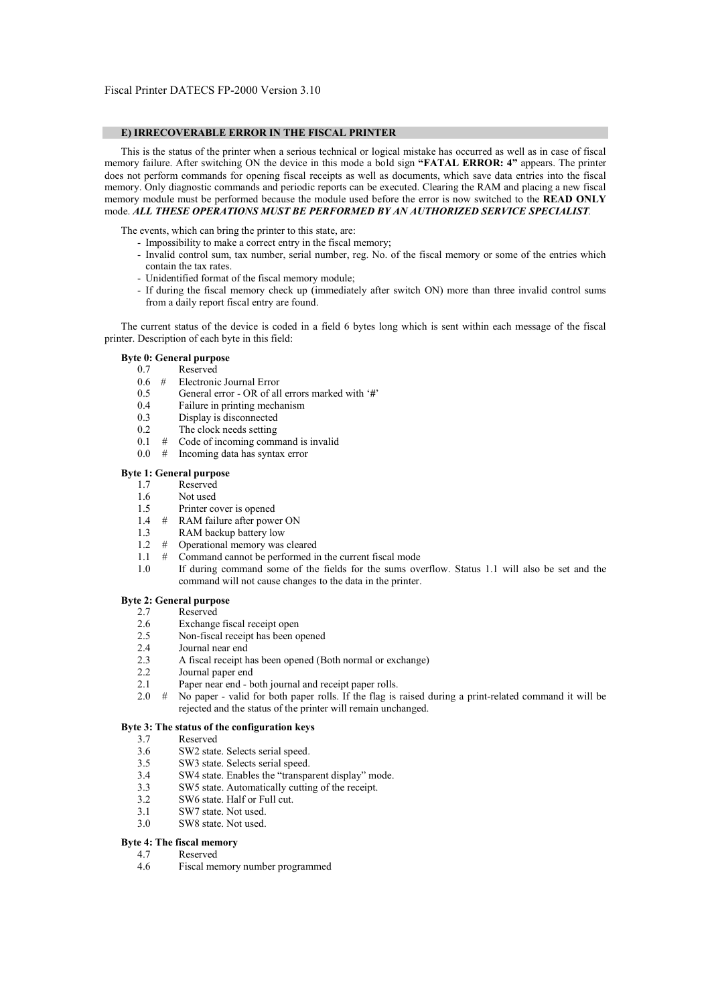## **E) IRRECOVERABLE ERROR IN THE FISCAL PRINTER**

This is the status of the printer when a serious technical or logical mistake has occurred as well as in case of fiscal memory failure. After switching ON the device in this mode a bold sign **"FATAL ERROR: 4"** appears. The printer does not perform commands for opening fiscal receipts as well as documents, which save data entries into the fiscal memory. Only diagnostic commands and periodic reports can be executed. Clearing the RAM and placing a new fiscal memory module must be performed because the module used before the error is now switched to the **READ ONLY** mode. *ALL THESE OPERATIONS MUST BE PERFORMED BY AN AUTHORIZED SERVICE SPECIALIST.* 

The events, which can bring the printer to this state, are:

- Impossibility to make a correct entry in the fiscal memory;
- Invalid control sum, tax number, serial number, reg. No. of the fiscal memory or some of the entries which contain the tax rates.
- Unidentified format of the fiscal memory module;
- If during the fiscal memory check up (immediately after switch ON) more than three invalid control sums from a daily report fiscal entry are found.

The current status of the device is coded in a field 6 bytes long which is sent within each message of the fiscal printer. Description of each byte in this field:

## **Byte 0: General purpose**

- 0.7 Reserved
- 0.6 # Electronic Journal Error
- 0.5 General error OR of all errors marked with '**#**'
- 0.4 Failure in printing mechanism
- 0.3 Display is disconnected
- 0.2 The clock needs setting
- 0.1 # Code of incoming command is invalid
- 0.0 # Incoming data has syntax error

## **Byte 1: General purpose**

- 1.7 Reserved
- 1.6 Not used
- 1.5 Printer cover is opened
- 1.4 # RAM failure after power ON
- 1.3 RAM backup battery low
- 1.2  $\#$  Operational memory was cleared<br>1.1  $\#$  Command cannot be performed in
- Command cannot be performed in the current fiscal mode
- 1.0 If during command some of the fields for the sums overflow. Status 1.1 will also be set and the command will not cause changes to the data in the printer.

### **Byte 2: General purpose**

- 2.7 Reserved<br>2.6 Exchange
- Exchange fiscal receipt open
- 2.5 Non-fiscal receipt has been opened
- 2.4 Journal near end
- 2.3 A fiscal receipt has been opened (Both normal or exchange)
- 2.2 Journal paper end<br>2.1 Paper near end b
- Paper near end both journal and receipt paper rolls.
- 2.0 # No paper valid for both paper rolls. If the flag is raised during a print-related command it will be rejected and the status of the printer will remain unchanged.

## **Byte 3: The status of the configuration keys**

- 3.7 Reserved<br>3.6 SW2 state
- SW2 state. Selects serial speed.
- 3.5 SW3 state. Selects serial speed.<br>3.4 SW4 state. Finalles the "transpa
- SW4 state. Enables the "transparent display" mode.
- 3.3 SW5 state. Automatically cutting of the receipt.
- 3.2 SW6 state. Half or Full cut.
- 3.1 SW7 state. Not used.
- 3.0 SW8 state. Not used.

# **Byte 4: The fiscal memory**

- 4.7 Reserved
	- 4.6 Fiscal memory number programmed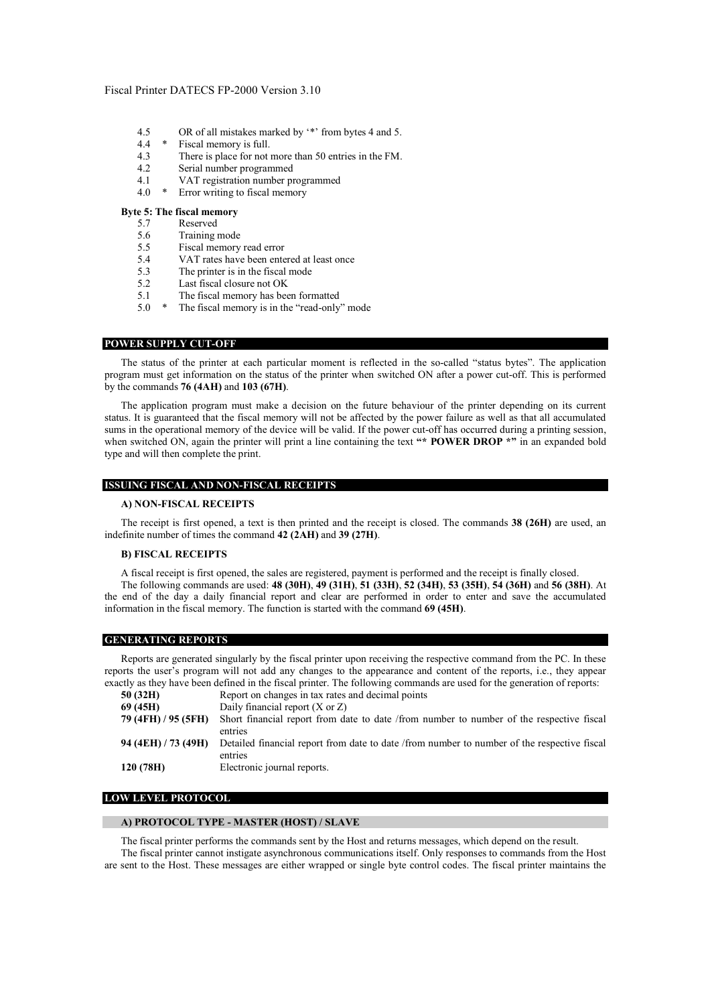- 4.5 OR of all mistakes marked by  $\cdot^*$  from bytes 4 and 5.
- 4.4 \* Fiscal memory is full.
- 4.3 There is place for not more than 50 entries in the FM.
- 4.2 Serial number programmed
- 4.1 VAT registration number programmed<br> $4.0*$  Frrown verting to fiscal memory
- 4.0 \* Error writing to fiscal memory

# **Byte 5: The fiscal memory**

- 5.7 Reserved
- 5.6 Training mode
- 5.5 Fiscal memory read error
- 5.4 VAT rates have been entered at least once<br>5.3 The printer is in the fiscal mode
- The printer is in the fiscal mode
- 5.2 Last fiscal closure not OK<br>5.1 The fiscal memory has bee
- The fiscal memory has been formatted
- 5.0 \* The fiscal memory is in the "read-only" mode

#### **POWER SUPPLY CUT-OFF**

The status of the printer at each particular moment is reflected in the so-called "status bytes". The application program must get information on the status of the printer when switched ON after a power cut-off. This is performed by the commands **76 (4AH)** and **103 (67H)**.

The application program must make a decision on the future behaviour of the printer depending on its current status. It is guaranteed that the fiscal memory will not be affected by the power failure as well as that all accumulated sums in the operational memory of the device will be valid. If the power cut-off has occurred during a printing session, when switched ON, again the printer will print a line containing the text "\* **POWER DROP** \*" in an expanded bold type and will then complete the print.

#### **ISSUING FISCAL AND NON-FISCAL RECEIPTS**

#### **A) NON-FISCAL RECEIPTS**

The receipt is first opened, a text is then printed and the receipt is closed. The commands **38 (26H)** are used, an indefinite number of times the command **42 (2AH)** and **39 (27H)**.

# **B) FISCAL RECEIPTS**

A fiscal receipt is first opened, the sales are registered, payment is performed and the receipt is finally closed. The following commands are used: **48 (30H)**, **49 (31H)**, **51 (33H)**, **52 (34H)**, **53 (35H)**, **54 (36H)** and **56 (38H)**. At

the end of the day a daily financial report and clear are performed in order to enter and save the accumulated information in the fiscal memory. The function is started with the command **69 (45H)**.

#### **GENERATING REPORTS**

Reports are generated singularly by the fiscal printer upon receiving the respective command from the PC. In these reports the user's program will not add any changes to the appearance and content of the reports, i.e., they appear exactly as they have been defined in the fiscal printer. The following commands are used for the generation of reports:

| 50(32H)             | Report on changes in tax rates and decimal points                                                      |
|---------------------|--------------------------------------------------------------------------------------------------------|
| 69 (45H)            | Daily financial report $(X \text{ or } Z)$                                                             |
| 79 (4FH) / 95 (5FH) | Short financial report from date to date /from number to number of the respective fiscal               |
|                     | entries                                                                                                |
| 94 (4EH) / 73 (49H) | Detailed financial report from date to date /from number to number of the respective fiscal<br>entries |
|                     |                                                                                                        |
| 120(78H)            | Electronic journal reports.                                                                            |

# **LOW LEVEL PROTOCOL**

#### **A) PROTOCOL TYPE - MASTER (HOST) / SLAVE**

The fiscal printer performs the commands sent by the Host and returns messages, which depend on the result. The fiscal printer cannot instigate asynchronous communications itself. Only responses to commands from the Host are sent to the Host. These messages are either wrapped or single byte control codes. The fiscal printer maintains the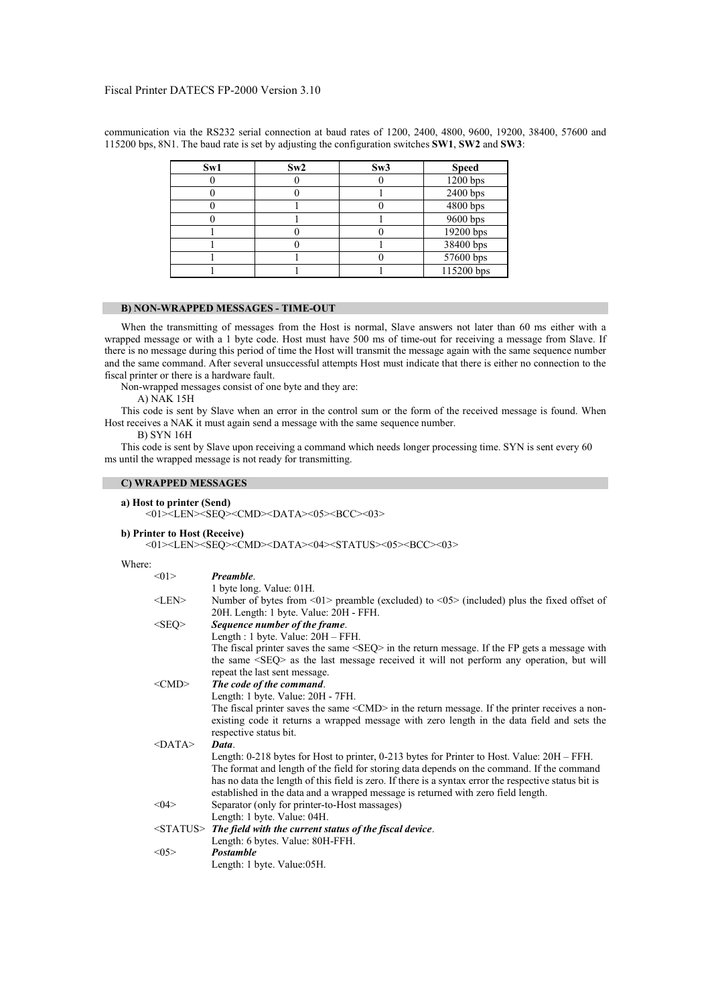| Sw1 | Sw2 | Sw3 | <b>Speed</b> |
|-----|-----|-----|--------------|
|     |     |     | $1200$ bps   |
|     |     |     | 2400 bps     |
|     |     |     | 4800 bps     |
|     |     |     | 9600 bps     |
|     |     |     | 19200 bps    |
|     |     |     | 38400 bps    |
|     |     |     | 57600 bps    |
|     |     |     | 115200 bps   |

communication via the RS232 serial connection at baud rates of 1200, 2400, 4800, 9600, 19200, 38400, 57600 and 115200 bps, 8N1. The baud rate is set by adjusting the configuration switches **SW1**, **SW2** and **SW3**:

# **B) NON-WRAPPED MESSAGES - TIME-OUT**

When the transmitting of messages from the Host is normal, Slave answers not later than 60 ms either with a wrapped message or with a 1 byte code. Host must have 500 ms of time-out for receiving a message from Slave. If there is no message during this period of time the Host will transmit the message again with the same sequence number and the same command. After several unsuccessful attempts Host must indicate that there is either no connection to the fiscal printer or there is a hardware fault.

Non-wrapped messages consist of one byte and they are:

A) NAK 15H

This code is sent by Slave when an error in the control sum or the form of the received message is found. When Host receives a NAK it must again send a message with the same sequence number.

B) SYN 16H

This code is sent by Slave upon receiving a command which needs longer processing time. SYN is sent every 60 ms until the wrapped message is not ready for transmitting.

# **C) WRAPPED MESSAGES**

|  |  | a) Host to printer (Send) |  |  |
|--|--|---------------------------|--|--|
|--|--|---------------------------|--|--|

<01><LEN><SEQ><CMD><DATA><05><BCC><03>

**b) Printer to Host (Receive)** 

<01><LEN><SEQ><CMD><DATA><04><STATUS><05><BCC><03>

## Where:

| <01          | Preamble.                                                                                                                 |
|--------------|---------------------------------------------------------------------------------------------------------------------------|
|              | 1 byte long. Value: 01H.                                                                                                  |
| $<$ LEN $>$  | Number of bytes from $\langle 01 \rangle$ preamble (excluded) to $\langle 05 \rangle$ (included) plus the fixed offset of |
|              | 20H. Length: 1 byte. Value: 20H - FFH.                                                                                    |
| $<$ SEQ>     | Sequence number of the frame.                                                                                             |
|              | Length : 1 byte. Value: 20H - FFH.                                                                                        |
|              | The fiscal printer saves the same $\langle$ SEQ $>$ in the return message. If the FP gets a message with                  |
|              | the same <seq> as the last message received it will not perform any operation, but will</seq>                             |
|              | repeat the last sent message.                                                                                             |
| $<$ CMD $>$  | The code of the command.                                                                                                  |
|              | Length: 1 byte. Value: 20H - 7FH.                                                                                         |
|              | The fiscal printer saves the same $\langle CMD \rangle$ in the return message. If the printer receives a non-             |
|              | existing code it returns a wrapped message with zero length in the data field and sets the                                |
|              | respective status bit.                                                                                                    |
| $<$ DATA $>$ | Data.                                                                                                                     |
|              | Length: 0-218 bytes for Host to printer, 0-213 bytes for Printer to Host. Value: 20H – FFH.                               |
|              | The format and length of the field for storing data depends on the command. If the command                                |
|              | has no data the length of this field is zero. If there is a syntax error the respective status bit is                     |
|              | established in the data and a wrapped message is returned with zero field length.                                         |
| <04>         | Separator (only for printer-to-Host massages)                                                                             |
|              | Length: 1 byte. Value: 04H.                                                                                               |
|              | $\langle$ STATUS $>$ The field with the current status of the fiscal device.                                              |
|              | Length: 6 bytes. Value: 80H-FFH.                                                                                          |
| <05          | <b>Postamble</b>                                                                                                          |
|              | Length: 1 byte. Value:05H.                                                                                                |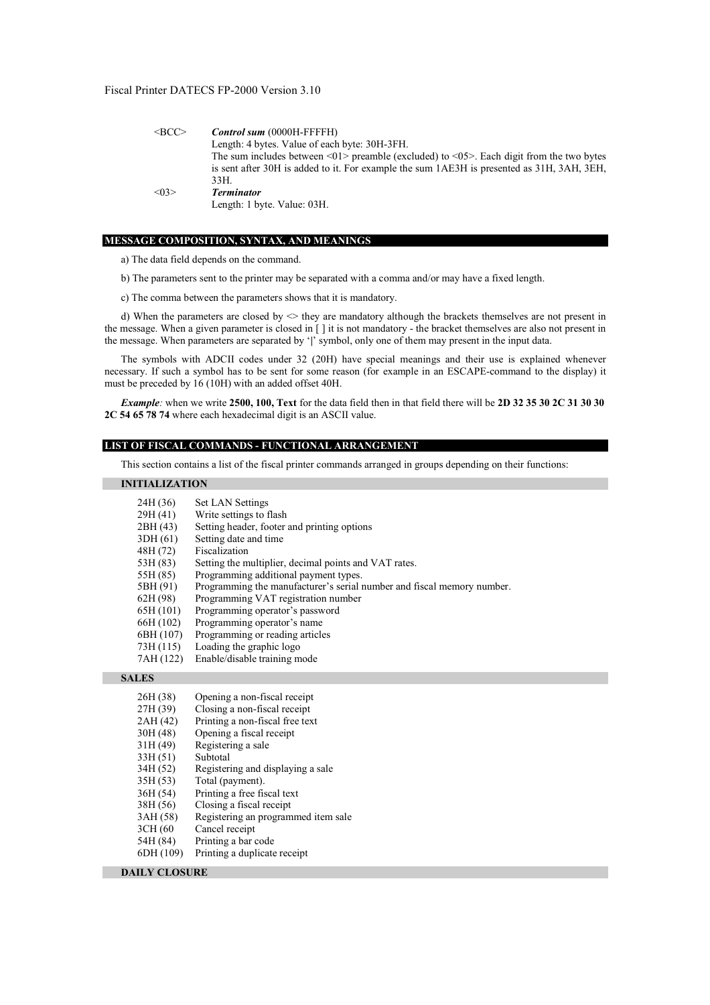| $\leq$ BCC $>$   | <b>Control sum (0000H-FFFFH)</b>                                                                       |
|------------------|--------------------------------------------------------------------------------------------------------|
|                  | Length: 4 bytes. Value of each byte: 30H-3FH.                                                          |
|                  | The sum includes between $\leq 0$ 1> preamble (excluded) to $\leq 0$ 5>. Each digit from the two bytes |
|                  | is sent after 30H is added to it. For example the sum 1AE3H is presented as 31H, 3AH, 3EH,             |
|                  | 33H.                                                                                                   |
| $<\!\!\theta$ 3> | <b>Terminator</b>                                                                                      |
|                  | Length: 1 byte. Value: 03H.                                                                            |

#### **MESSAGE COMPOSITION, SYNTAX, AND MEANINGS**

a) The data field depends on the command.

- b) The parameters sent to the printer may be separated with a comma and/or may have a fixed length.
- c) The comma between the parameters shows that it is mandatory.

d) When the parameters are closed by  $\leq$  they are mandatory although the brackets themselves are not present in the message. When a given parameter is closed in [ ] it is not mandatory - the bracket themselves are also not present in the message. When parameters are separated by '**|**' symbol, only one of them may present in the input data.

The symbols with ADCII codes under 32 (20H) have special meanings and their use is explained whenever necessary. If such a symbol has to be sent for some reason (for example in an ESCAPE-command to the display) it must be preceded by 16 (10H) with an added offset 40H.

*Example:* when we write **2500, 100, Text** for the data field then in that field there will be **2D 32 35 30 2C 31 30 30 2C 54 65 78 74** where each hexadecimal digit is an ASCII value.

## **LIST OF FISCAL COMMANDS - FUNCTIONAL ARRANGEMENT**

This section contains a list of the fiscal printer commands arranged in groups depending on their functions:

# **INITIALIZATION**

| 24H (36)  | <b>Set LAN Settings</b>                                                |
|-----------|------------------------------------------------------------------------|
| 29H (41)  | Write settings to flash                                                |
| 2BH (43)  | Setting header, footer and printing options                            |
| 3DH (61)  | Setting date and time                                                  |
| 48H (72)  | Fiscalization                                                          |
| 53H (83)  | Setting the multiplier, decimal points and VAT rates.                  |
| 55H (85)  | Programming additional payment types.                                  |
| 5BH (91)  | Programming the manufacturer's serial number and fiscal memory number. |
| 62H (98)  | Programming VAT registration number                                    |
| 65H (101) | Programming operator's password                                        |
| 66H (102) | Programming operator's name                                            |
| 6BH (107) | Programming or reading articles                                        |
| 73H (115) | Loading the graphic logo                                               |
| 7AH (122) | Enable/disable training mode                                           |

#### **SALES**

| 26H (38)      | Opening a non-fiscal receipt        |
|---------------|-------------------------------------|
| 27H (39)      | Closing a non-fiscal receipt        |
| 2AH (42)      | Printing a non-fiscal free text     |
| 30H (48)      | Opening a fiscal receipt            |
| 31H (49)      | Registering a sale                  |
| 33H (51)      | Subtotal                            |
| 34H (52)      | Registering and displaying a sale   |
| 35H (53)      | Total (payment).                    |
| 36H (54)      | Printing a free fiscal text         |
| 38H (56)      | Closing a fiscal receipt            |
| 3AH (58)      | Registering an programmed item sale |
| 3CH (60       | Cancel receipt                      |
| $5$ ALI (0.4) | Drinting a har aada                 |

54H (84) Printing a bar code 6DH (109) Printing a duplicate receipt

#### **DAILY CLOSURE**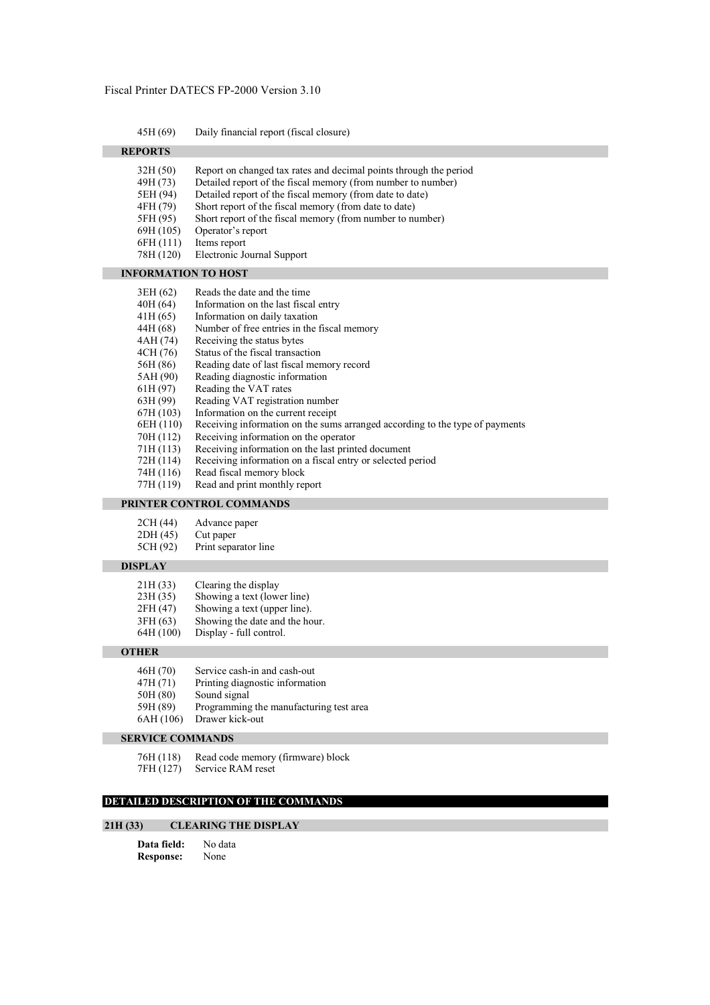| 45H (69) |  | Daily financial report (fiscal closure) |  |
|----------|--|-----------------------------------------|--|
|          |  |                                         |  |

| <b>REPORTS</b>                                                                                                                                                                                   |                                                                                                                                                                                                                                                                                                                                                                                                                                                                                                                                                                                                                                                                                 |
|--------------------------------------------------------------------------------------------------------------------------------------------------------------------------------------------------|---------------------------------------------------------------------------------------------------------------------------------------------------------------------------------------------------------------------------------------------------------------------------------------------------------------------------------------------------------------------------------------------------------------------------------------------------------------------------------------------------------------------------------------------------------------------------------------------------------------------------------------------------------------------------------|
| 32H(50)<br>49H (73)<br>5EH (94)<br>4FH (79)<br>5FH (95)<br>69H (105)<br>6FH (111)<br>78H (120)                                                                                                   | Report on changed tax rates and decimal points through the period<br>Detailed report of the fiscal memory (from number to number)<br>Detailed report of the fiscal memory (from date to date)<br>Short report of the fiscal memory (from date to date)<br>Short report of the fiscal memory (from number to number)<br>Operator's report<br>Items report<br>Electronic Journal Support                                                                                                                                                                                                                                                                                          |
| <b>INFORMATION TO HOST</b>                                                                                                                                                                       |                                                                                                                                                                                                                                                                                                                                                                                                                                                                                                                                                                                                                                                                                 |
| 3EH (62)<br>40H (64)<br>41H(65)<br>44H (68)<br>4AH (74)<br>4CH (76)<br>56H (86)<br>5AH (90)<br>61H(97)<br>63H (99)<br>67H (103)<br>6EH (110)<br>70H (112)<br>71H (113)<br>72H (114)<br>74H (116) | Reads the date and the time<br>Information on the last fiscal entry<br>Information on daily taxation<br>Number of free entries in the fiscal memory<br>Receiving the status bytes<br>Status of the fiscal transaction<br>Reading date of last fiscal memory record<br>Reading diagnostic information<br>Reading the VAT rates<br>Reading VAT registration number<br>Information on the current receipt<br>Receiving information on the sums arranged according to the type of payments<br>Receiving information on the operator<br>Receiving information on the last printed document<br>Receiving information on a fiscal entry or selected period<br>Read fiscal memory block |
| 77H (119)                                                                                                                                                                                        | Read and print monthly report<br><b>DDINTED CONTDOI COMMANDE</b>                                                                                                                                                                                                                                                                                                                                                                                                                                                                                                                                                                                                                |

# **PRINTER CONTROL COMMANDS**

2CH (44) Advance paper<br>2DH (45) Cut paper

2DH (45) Cut paper<br>5CH (92) Print separ

Print separator line

# **DISPLAY**

 $21H (33)$  Clearing the display<br> $23H (35)$  Showing a text (lower 23H (35) Showing a text (lower line)<br>2FH (47) Showing a text (upper line). 2FH  $(47)$  Showing a text (upper line).<br>3FH  $(63)$  Showing the date and the ho  $3FH (63)$  Showing the date and the hour.<br>64H (100) Display - full control.

Display - full control.

#### **OTHER**

- 46H (70) Service cash-in and cash-out
- 47H (71) Printing diagnostic information<br>50H (80) Sound signal
- Sound signal
- 59H (89) Programming the manufacturing test area
- 6AH (106) Drawer kick-out

# **SERVICE COMMANDS**

76H (118) Read code memory (firmware) block<br>7FH (127) Service RAM reset

Service RAM reset

# **DETAILED DESCRIPTION OF THE COMMANDS**

# **21H (33) CLEARING THE DISPLAY**

| Data field:      | No data |
|------------------|---------|
| <b>Response:</b> | None    |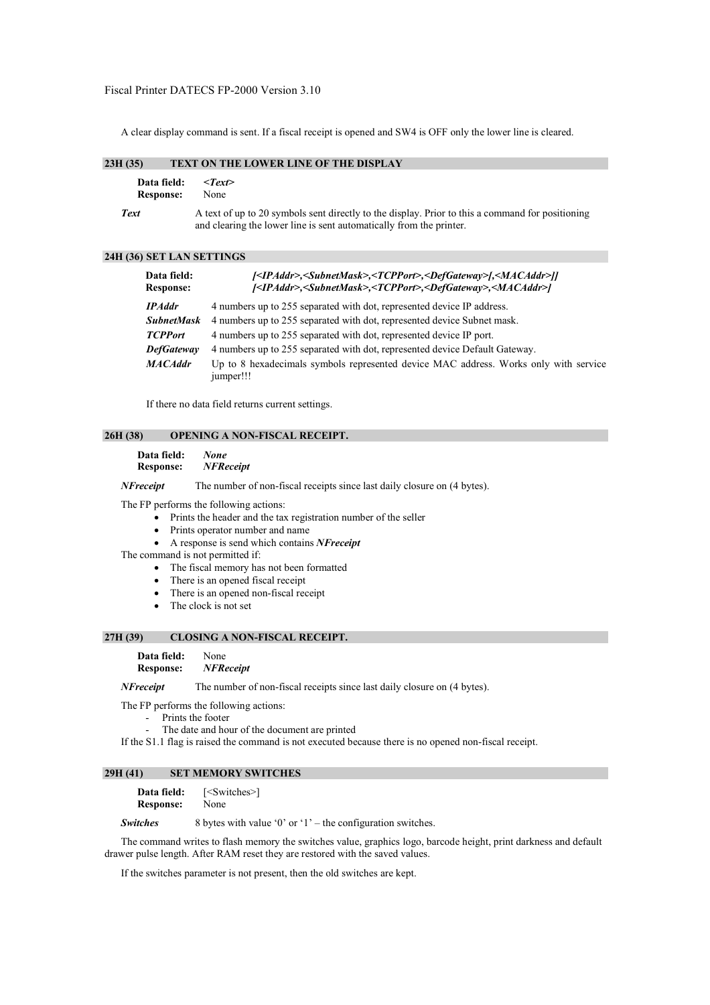A clear display command is sent. If a fiscal receipt is opened and SW4 is OFF only the lower line is cleared.

# **23H (35) TEXT ON THE LOWER LINE OF THE DISPLAY**

| Data field:      | $\langle T\rho x \rangle$                                                                                                                                               |
|------------------|-------------------------------------------------------------------------------------------------------------------------------------------------------------------------|
| <b>Response:</b> | None                                                                                                                                                                    |
| <b>Text</b>      | A text of up to 20 symbols sent directly to the display. Prior to this a command for positioning<br>and clearing the lower line is sent automatically from the printer. |

## **24H (36) SET LAN SETTINGS**

| Data field:<br><b>Response:</b> | <ipaddr>,<subnetmask>,<tcpport>,<defgateway> ,<macaddr>]]<br/> <ipaddr>,<subnetmask>,<tcpport>,<defgateway>,<macaddr> </macaddr></defgateway></tcpport></subnetmask></ipaddr></macaddr></defgateway></tcpport></subnetmask></ipaddr> |
|---------------------------------|--------------------------------------------------------------------------------------------------------------------------------------------------------------------------------------------------------------------------------------|
| <b>IPAddr</b>                   | 4 numbers up to 255 separated with dot, represented device IP address.                                                                                                                                                               |
| <b>SubnetMask</b>               | 4 numbers up to 255 separated with dot, represented device Subnet mask.                                                                                                                                                              |
| <b>TCPPort</b>                  | 4 numbers up to 255 separated with dot, represented device IP port.                                                                                                                                                                  |
| <b>DefGateway</b>               | 4 numbers up to 255 separated with dot, represented device Default Gateway.                                                                                                                                                          |
| <b>MACAddr</b>                  | Up to 8 hexadecimals symbols represented device MAC address. Works only with service<br>jumper!!!                                                                                                                                    |

If there no data field returns current settings.

#### **26H (38) OPENING A NON-FISCAL RECEIPT.**

| Data field:      | <b>None</b>      |
|------------------|------------------|
| <b>Response:</b> | <b>NFReceipt</b> |

*NFreceipt* The number of non-fiscal receipts since last daily closure on (4 bytes).

The FP performs the following actions:

- Prints the header and the tax registration number of the seller
- Prints operator number and name
- A response is send which contains *NFreceipt*
- The command is not permitted if:
	- The fiscal memory has not been formatted
	- There is an opened fiscal receipt
	- There is an opened non-fiscal receipt
	- The clock is not set

# **27H (39) CLOSING A NON-FISCAL RECEIPT.**

#### **Data field:** None

#### **Response:** *NFReceipt*

*NFreceipt* The number of non-fiscal receipts since last daily closure on (4 bytes).

The FP performs the following actions:

- Prints the footer
- The date and hour of the document are printed

If the S1.1 flag is raised the command is not executed because there is no opened non-fiscal receipt.

# **29H (41) SET MEMORY SWITCHES**

**Data field:** [<Switches>] **Response:** None

*Switches* 8 bytes with value '0' or '1' – the configuration switches.

The command writes to flash memory the switches value, graphics logo, barcode height, print darkness and default drawer pulse length. After RAM reset they are restored with the saved values.

If the switches parameter is not present, then the old switches are kept.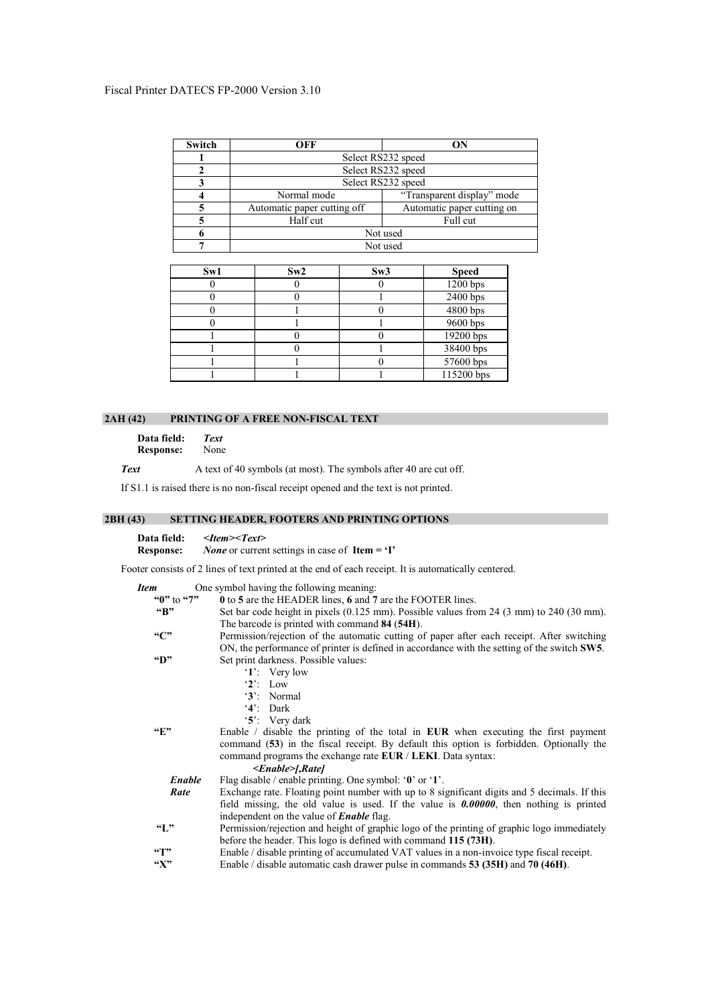| Switch | OFF                         | ON                         |  |
|--------|-----------------------------|----------------------------|--|
|        |                             | Select RS232 speed         |  |
|        |                             | Select RS232 speed         |  |
|        | Select RS232 speed          |                            |  |
|        | Normal mode                 | "Transparent display" mode |  |
|        | Automatic paper cutting off | Automatic paper cutting on |  |
|        | Half cut                    | Full cut                   |  |
|        | Not used                    |                            |  |
|        | Not used                    |                            |  |

| Sw1 | Sw2 | Sw3 | <b>Speed</b> |
|-----|-----|-----|--------------|
|     |     |     | 1200 bps     |
|     |     |     | $2400$ bps   |
|     |     |     | 4800 bps     |
|     |     |     | 9600 bps     |
|     |     |     | 19200 bps    |
|     |     |     | 38400 bps    |
|     |     |     | 57600 bps    |
|     |     |     | 115200 bps   |

# **2AH (42) PRINTING OF A FREE NON-FISCAL TEXT**

**Data field:** *Text* **Response:** 

**Text** A text of 40 symbols (at most). The symbols after 40 are cut off.

If S1.1 is raised there is no non-fiscal receipt opened and the text is not printed.

# **2BH (43) SETTING HEADER, FOOTERS AND PRINTING OPTIONS**

| Data field:      | $\langle$ Item> $\langle$ Text $\rangle$                                         |
|------------------|----------------------------------------------------------------------------------|
| <b>Response:</b> | <i>None</i> or current settings in case of <b>Item = <math>\mathbf{T}</math></b> |

Footer consists of 2 lines of text printed at the end of each receipt. It is automatically centered.

| <i>Item</i>    | One symbol having the following meaning.                   |
|----------------|------------------------------------------------------------|
| " $0$ " to "7" | 0 to 5 are the HEADER lines, 6 and 7 are the FOOTER lines. |

| $\mathbf{G}$              | Set bar code height in pixels $(0.125 \text{ mm})$ . Possible values from 24 $(3 \text{ mm})$ to 240 $(30 \text{ mm})$ . |
|---------------------------|--------------------------------------------------------------------------------------------------------------------------|
|                           |                                                                                                                          |
|                           | The barcode is printed with command 84 (54H).                                                                            |
| ``C"                      | Permission/rejection of the automatic cutting of paper after each receipt. After switching                               |
|                           | ON, the performance of printer is defined in accordance with the setting of the switch <b>SW5</b> .                      |
| $\mathbf{G}$              | Set print darkness. Possible values:                                                                                     |
|                           | $\mathbf{1}'$ : Very low                                                                                                 |
|                           | $2$ : Low                                                                                                                |
|                           | '3': Normal                                                                                                              |
|                           | $4$ . Dark                                                                                                               |
|                           | $5$ . Very dark                                                                                                          |
| $\mathbf{F}$              | Enable $\ell$ disable the printing of the total in <b>EUR</b> when executing the first payment                           |
|                           | command (53) in the fiscal receipt. By default this option is forbidden. Optionally the                                  |
|                           | command programs the exchange rate EUR / LEKI. Data syntax:                                                              |
|                           | $\le$ Enable $\ge$ [,Rate]                                                                                               |
| <b>Enable</b>             | Flag disable / enable printing. One symbol: $\mathbf{\hat{0}}$ or $\mathbf{\hat{1}}$ .                                   |
| Rate                      | Exchange rate. Floating point number with up to 8 significant digits and 5 decimals. If this                             |
|                           | field missing, the old value is used. If the value is $0.00000$ , then nothing is printed                                |
|                           | independent on the value of <b>Enable</b> flag.                                                                          |
| $\mathcal{F}$             | Permission/rejection and height of graphic logo of the printing of graphic logo immediately                              |
|                           | before the header. This logo is defined with command 115 (73H).                                                          |
| $\mathbf{G}$              | Enable / disable printing of accumulated VAT values in a non-invoice type fiscal receipt.                                |
| $\mathscr{C}(\mathbf{X})$ | Enable / disable automatic cash drawer pulse in commands 53 (35H) and 70 (46H).                                          |
|                           |                                                                                                                          |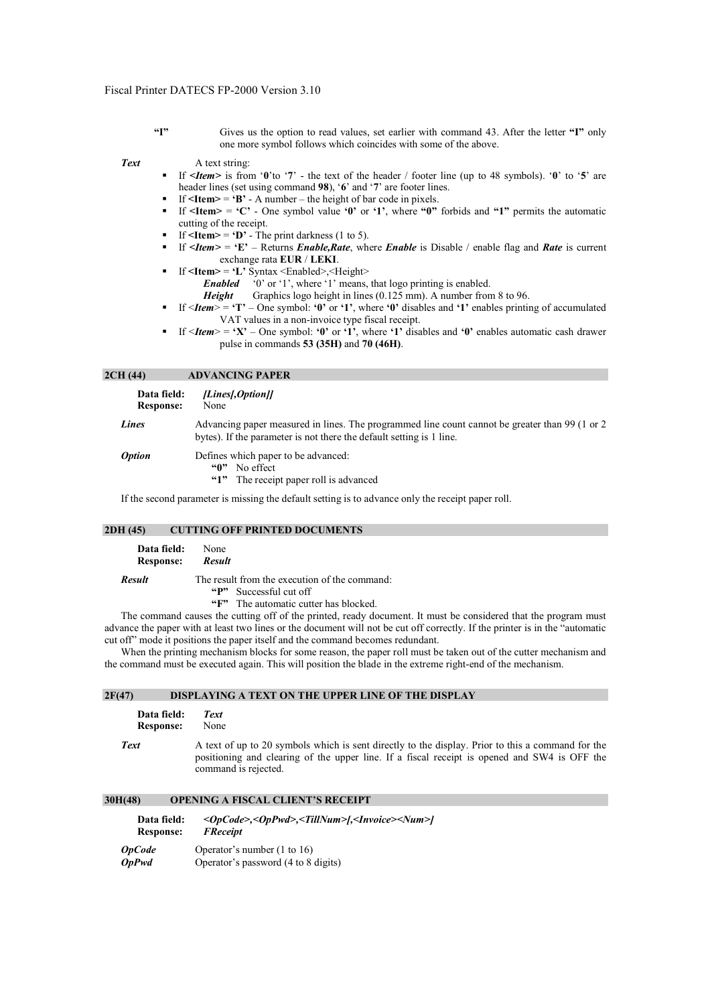**"I"** Gives us the option to read values, set earlier with command 43. After the letter **"I"** only one more symbol follows which coincides with some of the above.

**Text** A text string:

- If *<Item>* is from '**0**'to '**7**' the text of the header / footer line (up to 48 symbols). '**0**' to '**5**' are header lines (set using command **98**), '**6**' and '**7**' are footer lines.
- If  $\leq$ **Item** $>$  =  $\cdot$ **B** $\cdot$  A number the height of bar code in pixels.
- If  $\leq$ **Item** $>$  =  $\leq$ **C'** One symbol value  $\leq$ **0'** or  $\leq$ **1'**, where  $\leq$ **0'** forbids and  $\leq$ **1'** permits the automatic cutting of the receipt.
- If  $\leq$ **Item** $>$  =  $\cdot$ **D** $\cdot$  The print darkness (1 to 5).
- If  $\leq$ *Item* > = 'E' Returns *Enable, Rate*, where *Enable* is Disable / enable flag and *Rate* is current exchange rata **EUR** / **LEKI**.
- $\blacksquare$  If  $\leq$ **Item>**  $\equiv \mathbf{L}'$  Syntax  $\leq$ Enabled>, $\leq$ Height>
	- *Enabled* '0' or '1', where '1' means, that logo printing is enabled.<br> **Height** Graphics logo height in lines (0.125 mm). A number from
	- Graphics logo height in lines (0.125 mm). A number from 8 to 96.
- If <*Item*> = **'T'** One symbol: **'0'** or **'1'**, where **'0'** disables and **'1'** enables printing of accumulated VAT values in a non-invoice type fiscal receipt.
- If  $\leq$ *Item***> = 'X'** One symbol: '0' or '1', where '1' disables and '0' enables automatic cash drawer pulse in commands **53 (35H)** and **70 (46H)**.

#### **2CH (44) ADVANCING PAPER**

| Data field:<br><b>Response:</b> | [Lines[,Option]]<br>None                                                                                                                                                |
|---------------------------------|-------------------------------------------------------------------------------------------------------------------------------------------------------------------------|
| Lines                           | Advancing paper measured in lines. The programmed line count cannot be greater than 99 (1 or 2)<br>bytes). If the parameter is not there the default setting is 1 line. |
| <i><b>Option</b></i>            | Defines which paper to be advanced:<br>No effect<br>"ብ"<br>The receipt paper roll is advanced<br>5.1                                                                    |

If the second parameter is missing the default setting is to advance only the receipt paper roll.

# **2DH (45) CUTTING OFF PRINTED DOCUMENTS**

| Data field:<br><b>Response:</b> | None<br><b>Result</b>                         |
|---------------------------------|-----------------------------------------------|
| <b>Result</b>                   | The result from the execution of the command: |
|                                 | "P" Successful cut off                        |
|                                 | "F" The automatic cutter has blocked.         |

The command causes the cutting off of the printed, ready document. It must be considered that the program must advance the paper with at least two lines or the document will not be cut off correctly. If the printer is in the "automatic cut off" mode it positions the paper itself and the command becomes redundant.

When the printing mechanism blocks for some reason, the paper roll must be taken out of the cutter mechanism and the command must be executed again. This will position the blade in the extreme right-end of the mechanism.

## **2F(47) DISPLAYING A TEXT ON THE UPPER LINE OF THE DISPLAY**

| Data field:      | Text                                                                                                                                                                                                                      |
|------------------|---------------------------------------------------------------------------------------------------------------------------------------------------------------------------------------------------------------------------|
| <b>Response:</b> | None                                                                                                                                                                                                                      |
| <b>Text</b>      | A text of up to 20 symbols which is sent directly to the display. Prior to this a command for the<br>positioning and clearing of the upper line. If a fiscal receipt is opened and SW4 is OFF the<br>command is rejected. |

# **30H(48) OPENING A FISCAL CLIENT'S RECEIPT**

| Data field:<br><b>Response:</b> | <opcode>,<oppwd>,<tillnum>[,<invoice><num>]<br/><b>FReceipt</b></num></invoice></tillnum></oppwd></opcode> |
|---------------------------------|------------------------------------------------------------------------------------------------------------|
| <b>OpCode</b>                   | Operator's number $(1 \text{ to } 16)$                                                                     |
| <b>OpPwd</b>                    | Operator's password (4 to 8 digits)                                                                        |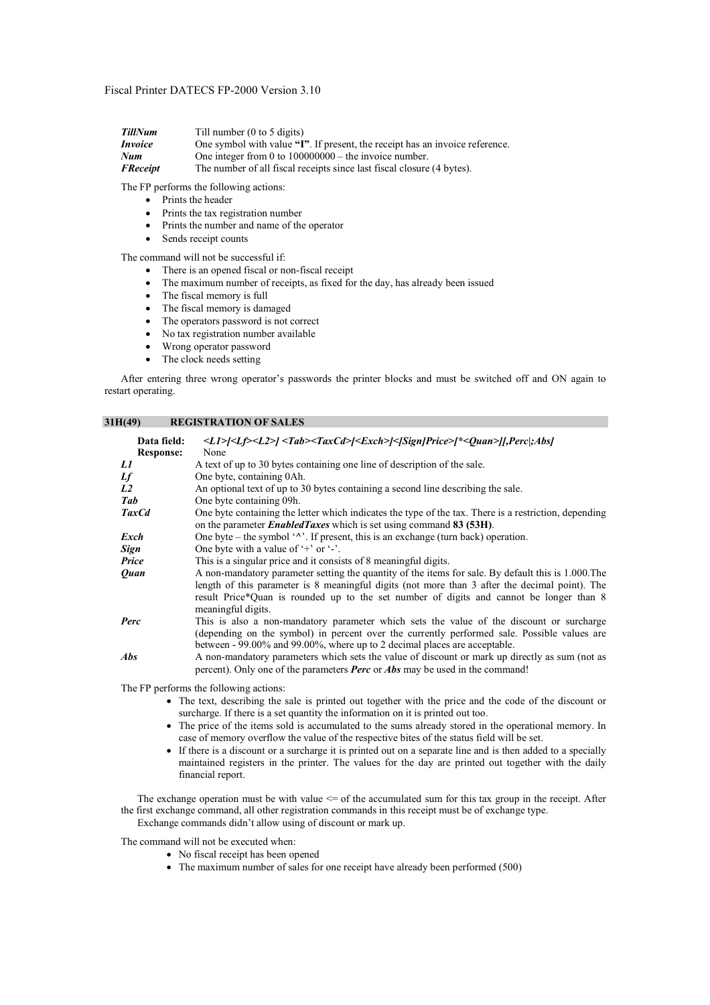| Till number $(0 \text{ to } 5 \text{ digits})$                               |
|------------------------------------------------------------------------------|
| One symbol with value "I". If present, the receipt has an invoice reference. |
| One integer from 0 to $100000000$ – the invoice number.                      |
| The number of all fiscal receipts since last fiscal closure (4 bytes).       |
|                                                                              |

The FP performs the following actions:

- Prints the header
	- Prints the tax registration number
- Prints the number and name of the operator
- Sends receipt counts

The command will not be successful if:

- There is an opened fiscal or non-fiscal receipt
- The maximum number of receipts, as fixed for the day, has already been issued
- The fiscal memory is full
- The fiscal memory is damaged
- The operators password is not correct
- No tax registration number available
- Wrong operator password
- The clock needs setting

After entering three wrong operator's passwords the printer blocks and must be switched off and ON again to restart operating.

# **31H(49) REGISTRATION OF SALES**

| Data field:      | <l1> <lf><l2>  <tab><taxcd> <exch> &lt; Sign Price&gt; *<quan>  ,Perc ;Abs </quan></exch></taxcd></tab></l2></lf></l1>                                                                                                                                                                                                 |
|------------------|------------------------------------------------------------------------------------------------------------------------------------------------------------------------------------------------------------------------------------------------------------------------------------------------------------------------|
| <b>Response:</b> | None                                                                                                                                                                                                                                                                                                                   |
| L1               | A text of up to 30 bytes containing one line of description of the sale.                                                                                                                                                                                                                                               |
| Lf               | One byte, containing 0Ah.                                                                                                                                                                                                                                                                                              |
| L <sub>2</sub>   | An optional text of up to 30 bytes containing a second line describing the sale.                                                                                                                                                                                                                                       |
| Tab              | One byte containing 09h.                                                                                                                                                                                                                                                                                               |
| <b>TaxCd</b>     | One byte containing the letter which indicates the type of the tax. There is a restriction, depending<br>on the parameter <i>EnabledTaxes</i> which is set using command 83 (53H).                                                                                                                                     |
| Exch             | One byte – the symbol $\lq \lq \lq$ . If present, this is an exchange (turn back) operation.                                                                                                                                                                                                                           |
| Sign             | One byte with a value of $+$ or $-$ .                                                                                                                                                                                                                                                                                  |
| Price            | This is a singular price and it consists of 8 meaningful digits.                                                                                                                                                                                                                                                       |
| <b>Ouan</b>      | A non-mandatory parameter setting the quantity of the items for sale. By default this is 1,000. The<br>length of this parameter is 8 meaningful digits (not more than 3 after the decimal point). The<br>result Price*Quan is rounded up to the set number of digits and cannot be longer than 8<br>meaningful digits. |
| Perc             | This is also a non-mandatory parameter which sets the value of the discount or surcharge<br>(depending on the symbol) in percent over the currently performed sale. Possible values are<br>between - 99.00% and 99.00%, where up to 2 decimal places are acceptable.                                                   |
| <b>Abs</b>       | A non-mandatory parameters which sets the value of discount or mark up directly as sum (not as<br>percent). Only one of the parameters <b>Perc</b> or <b>Abs</b> may be used in the command!                                                                                                                           |

The FP performs the following actions:

- The text, describing the sale is printed out together with the price and the code of the discount or surcharge. If there is a set quantity the information on it is printed out too.
- The price of the items sold is accumulated to the sums already stored in the operational memory. In case of memory overflow the value of the respective bites of the status field will be set.
- If there is a discount or a surcharge it is printed out on a separate line and is then added to a specially maintained registers in the printer. The values for the day are printed out together with the daily financial report.

The exchange operation must be with value  $\leq$  of the accumulated sum for this tax group in the receipt. After the first exchange command, all other registration commands in this receipt must be of exchange type. Exchange commands didn't allow using of discount or mark up.

The command will not be executed when:

- No fiscal receipt has been opened
	- The maximum number of sales for one receipt have already been performed (500)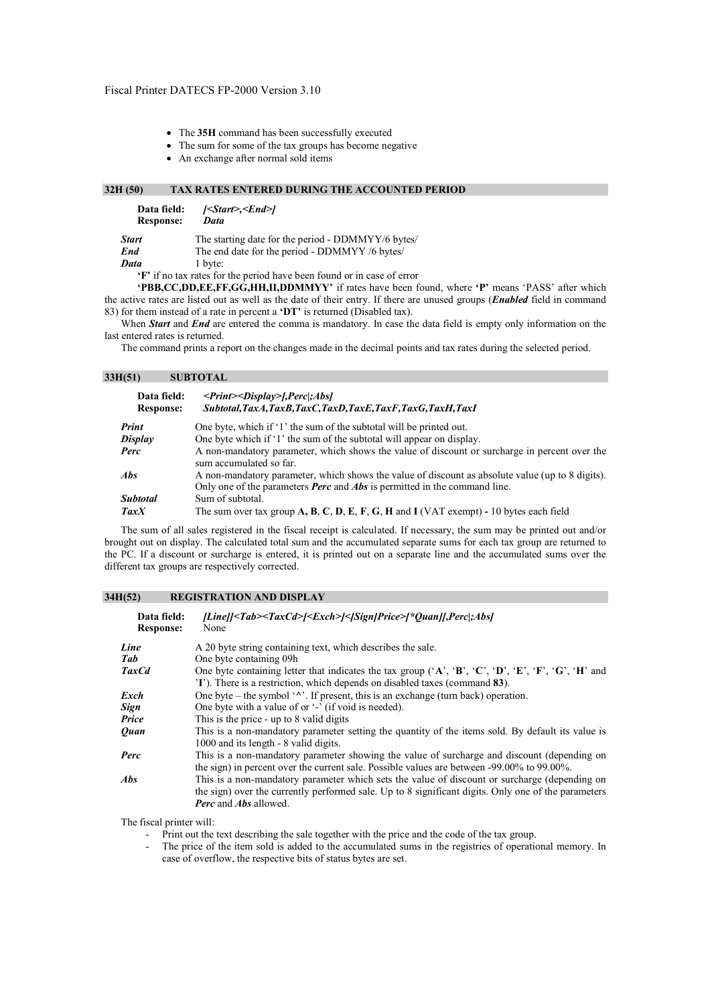- The **35H** command has been successfully executed
- The sum for some of the tax groups has become negative
- An exchange after normal sold items

# **32H (50) TAX RATES ENTERED DURING THE ACCOUNTED PERIOD**

| Data field:<br><b>Response:</b> | <start>,<end> <br/>Data</end></start>              |
|---------------------------------|----------------------------------------------------|
| Start                           | The starting date for the period - DDMMYY/6 bytes/ |
| End                             | The end date for the period - DDMMYY /6 bytes/     |
| Data                            | 1 byte:                                            |

**'F'** if no tax rates for the period have been found or in case of error

**'PBB,CC,DD,EE,FF,GG,HH,II,DDMMYY'** if rates have been found, where **'P'** means 'PASS' after which the active rates are listed out as well as the date of their entry. If there are unused groups (*Enabled* field in command 83) for them instead of a rate in percent a **'DT'** is returned (Disabled tax).

When **Start** and **End** are entered the comma is mandatory. In case the data field is empty only information on the last entered rates is returned.

The command prints a report on the changes made in the decimal points and tax rates during the selected period.

| 33H(51) |  | <b>SUBTOTAL</b> |
|---------|--|-----------------|
|---------|--|-----------------|

| Data field:<br><b>Response:</b> | $\langle$ Print $\rangle$ Display $\langle$ Perc ; Abs<br>Subtotal, TaxA, TaxB, TaxC, TaxD, TaxE, TaxF, TaxG, TaxH, TaxI                                                                    |
|---------------------------------|---------------------------------------------------------------------------------------------------------------------------------------------------------------------------------------------|
| Print                           | One byte, which if '1' the sum of the subtotal will be printed out.                                                                                                                         |
| Display                         | One byte which if '1' the sum of the subtotal will appear on display.                                                                                                                       |
| Perc                            | A non-mandatory parameter, which shows the value of discount or surcharge in percent over the<br>sum accumulated so far.                                                                    |
| <b>Abs</b>                      | A non-mandatory parameter, which shows the value of discount as absolute value (up to 8 digits).<br>Only one of the parameters <b>Perc</b> and <b>Abs</b> is permitted in the command line. |
| <b>Subtotal</b>                 | Sum of subtotal.                                                                                                                                                                            |
| <b>TaxX</b>                     | The sum over tax group $A, B, C, D, E, F, G, H$ and I (VAT exempt) - 10 bytes each field                                                                                                    |

The sum of all sales registered in the fiscal receipt is calculated. If necessary, the sum may be printed out and/or brought out on display. The calculated total sum and the accumulated separate sums for each tax group are returned to the PC. If a discount or surcharge is entered, it is printed out on a separate line and the accumulated sums over the different tax groups are respectively corrected.

## **34H(52) REGISTRATION AND DISPLAY**

| Data field:<br><b>Response:</b> | [Line]] <tab><taxcd>[<exch>]&lt;[Sign]Price&gt;[*Ouan][,Perc];Abs]<br/>None</exch></taxcd></tab>                                                                                                                                            |
|---------------------------------|---------------------------------------------------------------------------------------------------------------------------------------------------------------------------------------------------------------------------------------------|
| Line                            | A 20 byte string containing text, which describes the sale.                                                                                                                                                                                 |
| Tab                             | One byte containing 09h                                                                                                                                                                                                                     |
| <b>TaxCd</b>                    | One byte containing letter that indicates the tax group $(A', B', C', D', E', F', G', H'$ and<br>(T). There is a restriction, which depends on disabled taxes (command 83).                                                                 |
| Exch                            | One byte – the symbol $\langle \gamma \rangle$ . If present, this is an exchange (turn back) operation.                                                                                                                                     |
| <b>Sign</b>                     | One byte with a value of or '-' (if void is needed).                                                                                                                                                                                        |
| Price                           | This is the price - up to 8 valid digits                                                                                                                                                                                                    |
| <b>Ouan</b>                     | This is a non-mandatory parameter setting the quantity of the items sold. By default its value is<br>1000 and its length - 8 valid digits.                                                                                                  |
| Perc                            | This is a non-mandatory parameter showing the value of surcharge and discount (depending on<br>the sign) in percent over the current sale. Possible values are between -99.00% to 99.00%.                                                   |
| <i>Abs</i>                      | This is a non-mandatory parameter which sets the value of discount or surcharge (depending on<br>the sign) over the currently performed sale. Up to 8 significant digits. Only one of the parameters<br><b>Perc</b> and <b>Abs</b> allowed. |

The fiscal printer will:

- Print out the text describing the sale together with the price and the code of the tax group.

- The price of the item sold is added to the accumulated sums in the registries of operational memory. In case of overflow, the respective bits of status bytes are set.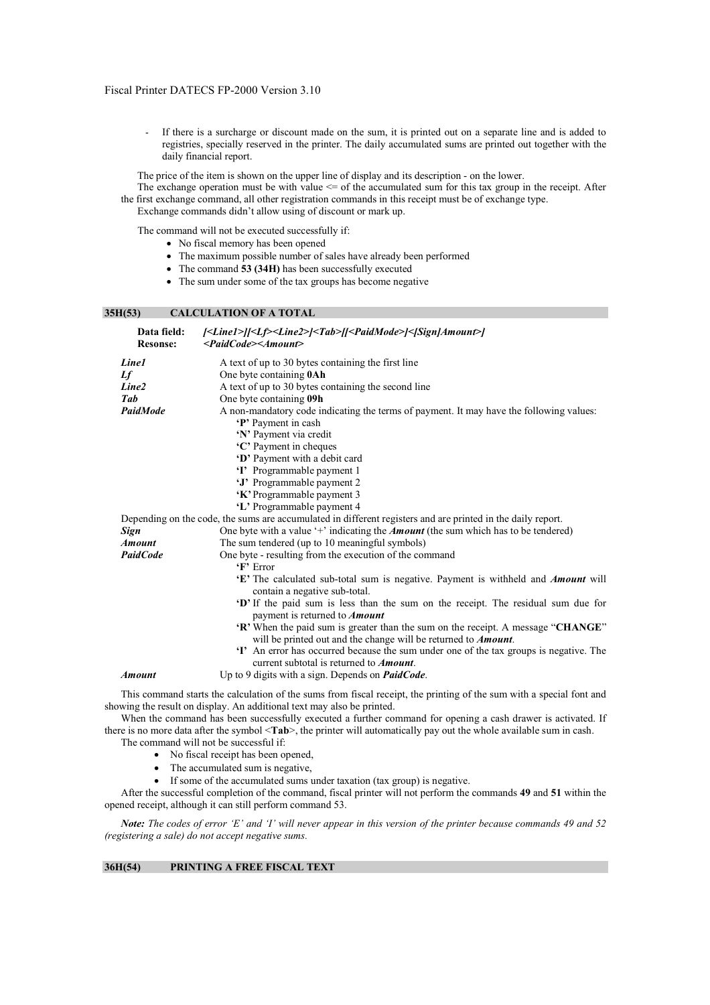If there is a surcharge or discount made on the sum, it is printed out on a separate line and is added to registries, specially reserved in the printer. The daily accumulated sums are printed out together with the daily financial report.

The price of the item is shown on the upper line of display and its description - on the lower.

The exchange operation must be with value  $\leq$  of the accumulated sum for this tax group in the receipt. After the first exchange command, all other registration commands in this receipt must be of exchange type. Exchange commands didn't allow using of discount or mark up.

The command will not be executed successfully if:

- No fiscal memory has been opened
- The maximum possible number of sales have already been performed
- The command **53 (34H)** has been successfully executed
- The sum under some of the tax groups has become negative

# **35H(53) CALCULATION OF A TOTAL**

| Data field:<br><b>Resonse:</b> | [ <line1>][<lf><line2>]<tab>[[<paidmode>]&lt;[Sign]Amount&gt;]<br/><paidcode><amount></amount></paidcode></paidmode></tab></line2></lf></line1>            |
|--------------------------------|------------------------------------------------------------------------------------------------------------------------------------------------------------|
| Line1                          | A text of up to 30 bytes containing the first line                                                                                                         |
| Lf                             | One byte containing <b>0Ah</b>                                                                                                                             |
| Line <sub>2</sub>              | A text of up to 30 bytes containing the second line                                                                                                        |
| Tab                            | One byte containing 09h                                                                                                                                    |
| PaidMode                       | A non-mandatory code indicating the terms of payment. It may have the following values:                                                                    |
|                                | 'P' Payment in cash                                                                                                                                        |
|                                | 'N' Payment via credit                                                                                                                                     |
|                                | 'C' Payment in cheques                                                                                                                                     |
|                                | 'D' Payment with a debit card                                                                                                                              |
|                                | 'I' Programmable payment 1                                                                                                                                 |
|                                | 'J' Programmable payment 2                                                                                                                                 |
|                                | 'K' Programmable payment 3                                                                                                                                 |
|                                | 'L' Programmable payment 4                                                                                                                                 |
|                                | Depending on the code, the sums are accumulated in different registers and are printed in the daily report.                                                |
| Sign                           | One byte with a value $+$ indicating the <i>Amount</i> (the sum which has to be tendered)                                                                  |
| <b>Amount</b>                  | The sum tendered (up to 10 meaningful symbols)                                                                                                             |
| <b>PaidCode</b>                | One byte - resulting from the execution of the command                                                                                                     |
|                                | $\mathbf{F}$ Error                                                                                                                                         |
|                                | 'E' The calculated sub-total sum is negative. Payment is withheld and <i>Amount</i> will<br>contain a negative sub-total.                                  |
|                                | "D' If the paid sum is less than the sum on the receipt. The residual sum due for<br>payment is returned to <b>Amount</b>                                  |
|                                | 'R' When the paid sum is greater than the sum on the receipt. A message "CHANGE"<br>will be printed out and the change will be returned to <b>Amount</b> . |
|                                | 'I' An error has occurred because the sum under one of the tax groups is negative. The<br>current subtotal is returned to <i>Amount</i> .                  |
| <b>Amount</b>                  | Up to 9 digits with a sign. Depends on <i>PaidCode</i> .                                                                                                   |
|                                | المناد المسامي المتحدث المتحدث                                                                                                                             |

This command starts the calculation of the sums from fiscal receipt, the printing of the sum with a special font and showing the result on display. An additional text may also be printed.

When the command has been successfully executed a further command for opening a cash drawer is activated. If there is no more data after the symbol <**Tab**>, the printer will automatically pay out the whole available sum in cash.

The command will not be successful if:

- No fiscal receipt has been opened.
- The accumulated sum is negative,
- If some of the accumulated sums under taxation (tax group) is negative.

After the successful completion of the command, fiscal printer will not perform the commands **49** and **51** within the opened receipt, although it can still perform command 53.

*Note: The codes of error 'E' and 'I' will never appear in this version of the printer because commands 49 and 52 (registering a sale) do not accept negative sums.* 

# **36H(54) PRINTING A FREE FISCAL TEXT**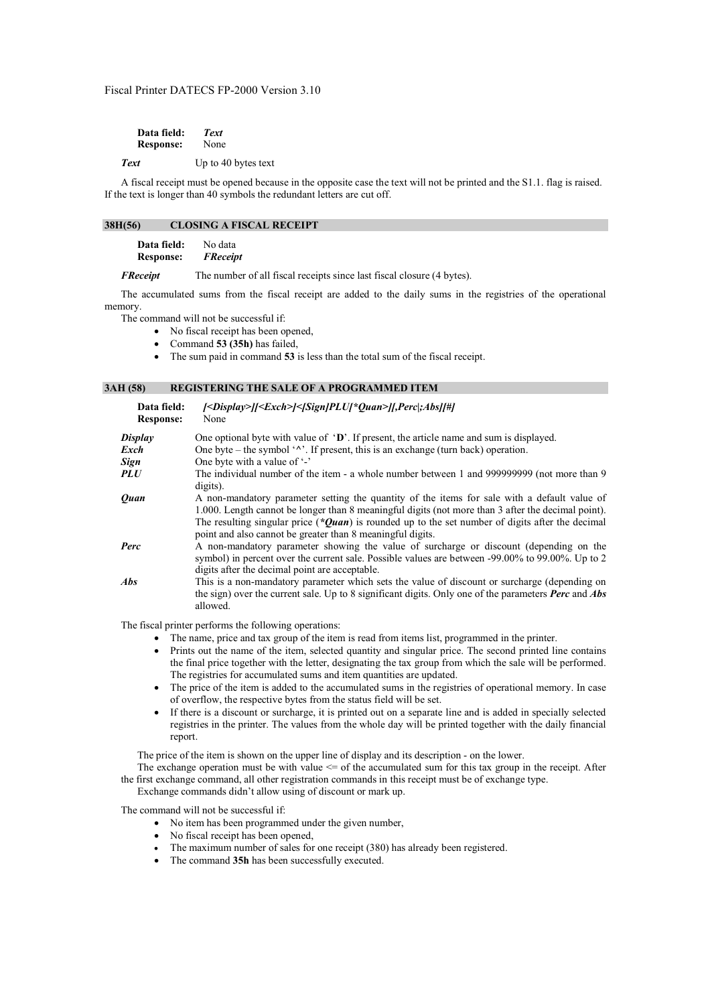| Data field:      | <b>Text</b>         |
|------------------|---------------------|
| <b>Response:</b> | None                |
| <b>Text</b>      | Up to 40 bytes text |

A fiscal receipt must be opened because in the opposite case the text will not be printed and the S1.1. flag is raised. If the text is longer than 40 symbols the redundant letters are cut off.

#### **38H(56) CLOSING A FISCAL RECEIPT**

| Data field:      | No data         |
|------------------|-----------------|
| <b>Response:</b> | <b>FReceipt</b> |

*FReceipt* The number of all fiscal receipts since last fiscal closure (4 bytes).

The accumulated sums from the fiscal receipt are added to the daily sums in the registries of the operational memory.

The command will not be successful if:

- No fiscal receipt has been opened,
- Command **53 (35h)** has failed,
- The sum paid in command **53** is less than the total sum of the fiscal receipt.

#### **3AH (58) REGISTERING THE SALE OF A PROGRAMMED ITEM**

| Data field:<br><b>Response:</b> | <display>  <exch> &lt; Sign PLU *Quan&gt;  ,Perc ;Abs  # <br/>None</exch></display>                                                                                                                                                                                                                                                                                  |
|---------------------------------|----------------------------------------------------------------------------------------------------------------------------------------------------------------------------------------------------------------------------------------------------------------------------------------------------------------------------------------------------------------------|
| Display                         | One optional byte with value of 'D'. If present, the article name and sum is displayed.                                                                                                                                                                                                                                                                              |
| Exch                            | One byte – the symbol $\lambda$ . If present, this is an exchange (turn back) operation.                                                                                                                                                                                                                                                                             |
| Sign                            | One byte with a value of '-'                                                                                                                                                                                                                                                                                                                                         |
| PLU                             | The individual number of the item - a whole number between 1 and 999999999 (not more than 9<br>digits).                                                                                                                                                                                                                                                              |
| <b>Ouan</b>                     | A non-mandatory parameter setting the quantity of the items for sale with a default value of<br>1.000. Length cannot be longer than 8 meaningful digits (not more than 3 after the decimal point).<br>The resulting singular price (*Ouan) is rounded up to the set number of digits after the decimal<br>point and also cannot be greater than 8 meaningful digits. |
| Perc                            | A non-mandatory parameter showing the value of surcharge or discount (depending on the<br>symbol) in percent over the current sale. Possible values are between -99.00% to 99.00%. Up to 2<br>digits after the decimal point are acceptable.                                                                                                                         |
| <b>Abs</b>                      | This is a non-mandatory parameter which sets the value of discount or surcharge (depending on<br>the sign) over the current sale. Up to 8 significant digits. Only one of the parameters <b>Perc</b> and <b>Abs</b><br>allowed.                                                                                                                                      |

The fiscal printer performs the following operations:

- The name, price and tax group of the item is read from items list, programmed in the printer.
- Prints out the name of the item, selected quantity and singular price. The second printed line contains the final price together with the letter, designating the tax group from which the sale will be performed. The registries for accumulated sums and item quantities are updated.
- The price of the item is added to the accumulated sums in the registries of operational memory. In case of overflow, the respective bytes from the status field will be set.
- If there is a discount or surcharge, it is printed out on a separate line and is added in specially selected registries in the printer. The values from the whole day will be printed together with the daily financial report.

The price of the item is shown on the upper line of display and its description - on the lower.

The exchange operation must be with value  $\leq$  of the accumulated sum for this tax group in the receipt. After the first exchange command, all other registration commands in this receipt must be of exchange type.

Exchange commands didn't allow using of discount or mark up.

The command will not be successful if:

- No item has been programmed under the given number,
- No fiscal receipt has been opened,
- The maximum number of sales for one receipt (380) has already been registered.
- The command **35h** has been successfully executed.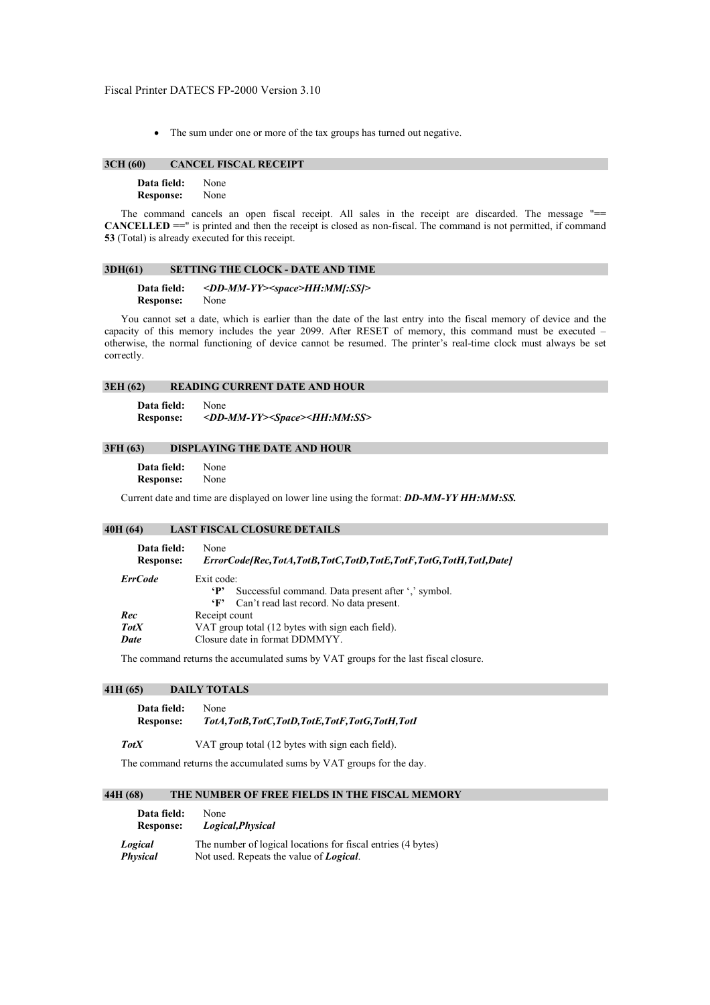• The sum under one or more of the tax groups has turned out negative.

### **3CH (60) CANCEL FISCAL RECEIPT**

| Data field:      | None |
|------------------|------|
| <b>Response:</b> | None |

The command cancels an open fiscal receipt. All sales in the receipt are discarded. The message "**== CANCELLED ==**" is printed and then the receipt is closed as non-fiscal. The command is not permitted, if command **53** (Total) is already executed for this receipt.

# **3DH(61) SETTING THE CLOCK - DATE AND TIME**

#### **Data field:** *<DD-MM-YY><space>HH:MM[:SS]>* **Response:** None

You cannot set a date, which is earlier than the date of the last entry into the fiscal memory of device and the capacity of this memory includes the year 2099. After RESET of memory, this command must be executed – otherwise, the normal functioning of device cannot be resumed. The printer's real-time clock must always be set correctly.

## **3EH (62) READING CURRENT DATE AND HOUR**

**Data field:** None **Response:** *<DD-MM-YY><Space><HH:MM:SS>*

#### **3FH (63) DISPLAYING THE DATE AND HOUR**

**Data field:** None **Response:** None

Current date and time are displayed on lower line using the format: *DD-MM-YY HH:MM:SS.* 

# **40H (64) LAST FISCAL CLOSURE DETAILS**

| Data field:      | None                                                                                                                          |  |
|------------------|-------------------------------------------------------------------------------------------------------------------------------|--|
| <b>Response:</b> | ErrorCode[Rec,TotA,TotB,TotC,TotD,TotE,TotF,TotG,TotH,TotI,Date]                                                              |  |
| <b>ErrCode</b>   | Exit code:<br>Successful command. Data present after ',' symbol.<br>$\cdot$ P<br>'F' Can't read last record. No data present. |  |
| Rec              | Receipt count                                                                                                                 |  |
| <b>TotX</b>      | VAT group total (12 bytes with sign each field).                                                                              |  |
| Date             | Closure date in format DDMMYY.                                                                                                |  |

The command returns the accumulated sums by VAT groups for the last fiscal closure.

## **41H (65) DAILY TOTALS**

| Data field:      | None                                         |
|------------------|----------------------------------------------|
| <b>Response:</b> | TotA,TotB,TotC,TotD,TotE,TotF,TotG,TotH,TotI |

**TotX** VAT group total (12 bytes with sign each field).

The command returns the accumulated sums by VAT groups for the day.

# **44H (68) THE NUMBER OF FREE FIELDS IN THE FISCAL MEMORY**

| Data field:      | None                                                         |
|------------------|--------------------------------------------------------------|
| <b>Response:</b> | Logical, Physical                                            |
| Logical          | The number of logical locations for fiscal entries (4 bytes) |
| <b>Physical</b>  | Not used. Repeats the value of <b>Logical</b> .              |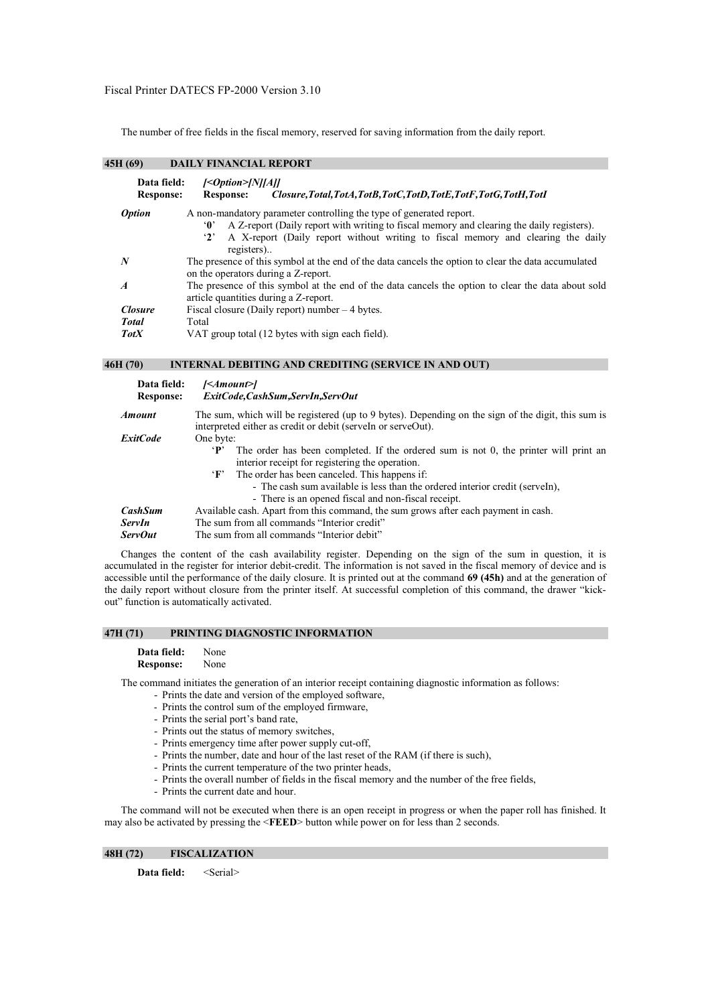The number of free fields in the fiscal memory, reserved for saving information from the daily report.

# **45H (69) DAILY FINANCIAL REPORT**

| Data field:<br><b>Response:</b> | $[<]$ Option $>$ [N][A]]<br>Closure, Total, TotA, TotB, TotC, TotD, TotE, TotF, TotG, TotH, TotI<br><b>Response:</b>                                                                                                                                                                      |
|---------------------------------|-------------------------------------------------------------------------------------------------------------------------------------------------------------------------------------------------------------------------------------------------------------------------------------------|
| <b>Option</b>                   | A non-mandatory parameter controlling the type of generated report.<br>A Z-report (Daily report with writing to fiscal memory and clearing the daily registers).<br>'O'<br>A X-report (Daily report without writing to fiscal memory and clearing the daily<br>$\mathbf{r}$<br>registers) |
| N                               | The presence of this symbol at the end of the data cancels the option to clear the data accumulated<br>on the operators during a Z-report.                                                                                                                                                |
| $\boldsymbol{A}$                | The presence of this symbol at the end of the data cancels the option to clear the data about sold<br>article quantities during a Z-report.                                                                                                                                               |
| <b>Closure</b>                  | Fiscal closure (Daily report) number $-4$ bytes.                                                                                                                                                                                                                                          |
| <b>Total</b>                    | Total                                                                                                                                                                                                                                                                                     |
| <b>TotX</b>                     | VAT group total (12 bytes with sign each field).                                                                                                                                                                                                                                          |

**46H (70) INTERNAL DEBITING AND CREDITING (SERVICE IN AND OUT)** 

| Data field:<br><b>Response:</b> | $\leq$ Amount> $\geq$<br>ExitCode,CashSum,ServIn,ServOut                                                                                                           |
|---------------------------------|--------------------------------------------------------------------------------------------------------------------------------------------------------------------|
| <b>Amount</b>                   | The sum, which will be registered (up to 9 bytes). Depending on the sign of the digit, this sum is<br>interpreted either as credit or debit (serveln or serveOut). |
| <i>ExitCode</i>                 | One byte:                                                                                                                                                          |
|                                 | The order has been completed. If the ordered sum is not 0, the printer will print an<br>'P'                                                                        |
|                                 | interior receipt for registering the operation.                                                                                                                    |
|                                 | 'F' The order has been canceled. This happens if:                                                                                                                  |
|                                 | - The cash sum available is less than the ordered interior credit (serveln),                                                                                       |
|                                 | - There is an opened fiscal and non-fiscal receipt.                                                                                                                |
| <b>CashSum</b>                  | Available cash. Apart from this command, the sum grows after each payment in cash.                                                                                 |
| ServIn                          | The sum from all commands "Interior credit"                                                                                                                        |
| <b>ServOut</b>                  | The sum from all commands "Interior debit"                                                                                                                         |

Changes the content of the cash availability register. Depending on the sign of the sum in question, it is accumulated in the register for interior debit-credit. The information is not saved in the fiscal memory of device and is accessible until the performance of the daily closure. It is printed out at the command **69 (45h)** and at the generation of the daily report without closure from the printer itself. At successful completion of this command, the drawer "kickout" function is automatically activated.

# **47H (71) PRINTING DIAGNOSTIC INFORMATION**

**Data field:** None **Response:** None

The command initiates the generation of an interior receipt containing diagnostic information as follows:

- Prints the date and version of the employed software,
- Prints the control sum of the employed firmware,
- Prints the serial port's band rate,
- Prints out the status of memory switches,
- Prints emergency time after power supply cut-off,
- Prints the number, date and hour of the last reset of the RAM (if there is such),
- Prints the current temperature of the two printer heads,
- Prints the overall number of fields in the fiscal memory and the number of the free fields,
- Prints the current date and hour.

The command will not be executed when there is an open receipt in progress or when the paper roll has finished. It may also be activated by pressing the <**FEED**> button while power on for less than 2 seconds.

# **48H (72) FISCALIZATION**

**Data field:** <Serial>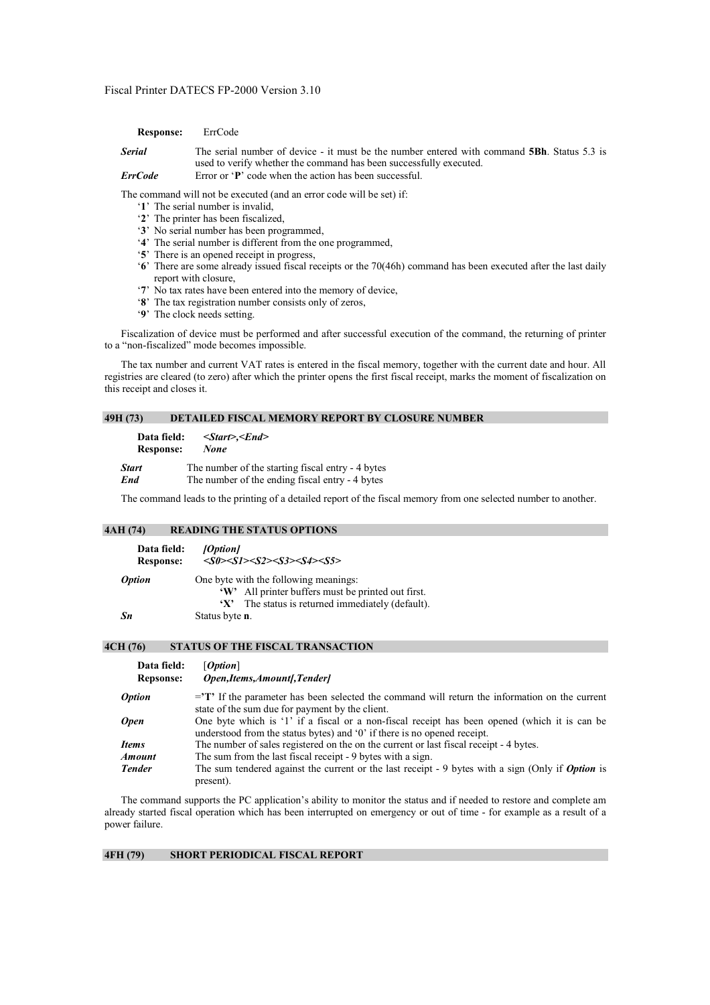**Response:** ErrCode

*Serial* The serial number of device - it must be the number entered with command **5Bh**. Status 5.3 is used to verify whether the command has been successfully executed. *ErrCode* Error or '**P**' code when the action has been successful.

The command will not be executed (and an error code will be set) if:

- '**1**' The serial number is invalid,
- '**2**' The printer has been fiscalized,
- '**3**' No serial number has been programmed,
- '**4**' The serial number is different from the one programmed,
- '**5**' There is an opened receipt in progress,
- '**6**' There are some already issued fiscal receipts or the 70(46h) command has been executed after the last daily report with closure,
- '**7**' No tax rates have been entered into the memory of device,
- '**8**' The tax registration number consists only of zeros,
- '**9**' The clock needs setting.

Fiscalization of device must be performed and after successful execution of the command, the returning of printer to a "non-fiscalized" mode becomes impossible.

The tax number and current VAT rates is entered in the fiscal memory, together with the current date and hour. All registries are cleared (to zero) after which the printer opens the first fiscal receipt, marks the moment of fiscalization on this receipt and closes it.

# **49H (73) DETAILED FISCAL MEMORY REPORT BY CLOSURE NUMBER**

**Data field: <***Start>,<End>*  **Response:** *None* **Start** The number of the starting fiscal entry - 4 bytes *End* The number of the ending fiscal entry - 4 bytes

The command leads to the printing of a detailed report of the fiscal memory from one selected number to another.

# **4AH (74) READING THE STATUS OPTIONS**

| Data field:<br><b>Response:</b> | [Option]<br>$<\!\!S0\!\!><\!\!S1\!\!><\!\!S2\!\!><\!\!S3\!\!><\!\!S4\!\!><\!\!S5\!\!>$      |
|---------------------------------|---------------------------------------------------------------------------------------------|
| <i><b>Option</b></i>            | One byte with the following meanings:<br>'W' All printer buffers must be printed out first. |
| Sn                              | The status is returned immediately (default).<br>$\mathbf{X}$<br>Status byte <b>n</b> .     |

#### **4CH (76) STATUS OF THE FISCAL TRANSACTION**

| Data field:<br><b>Repsonse:</b> | [Option]<br>Open, Items, Amount [, Tender]                                                                                                                                            |
|---------------------------------|---------------------------------------------------------------------------------------------------------------------------------------------------------------------------------------|
| <i><b>Option</b></i>            | $=$ <sup><math>\mathbf{T}</math></sup> . If the parameter has been selected the command will return the information on the current<br>state of the sum due for payment by the client. |
| <b>Open</b>                     | One byte which is '1' if a fiscal or a non-fiscal receipt has been opened (which it is can be<br>understood from the status bytes) and '0' if there is no opened receipt.             |
| Items                           | The number of sales registered on the on the current or last fiscal receipt - 4 bytes.                                                                                                |
| Amount                          | The sum from the last fiscal receipt - 9 bytes with a sign.                                                                                                                           |
| <b>Tender</b>                   | The sum tendered against the current or the last receipt $-9$ bytes with a sign (Only if <i>Option</i> is<br>present).                                                                |

The command supports the PC application's ability to monitor the status and if needed to restore and complete am already started fiscal operation which has been interrupted on emergency or out of time - for example as a result of a power failure.

# **4FH (79) SHORT PERIODICAL FISCAL REPORT**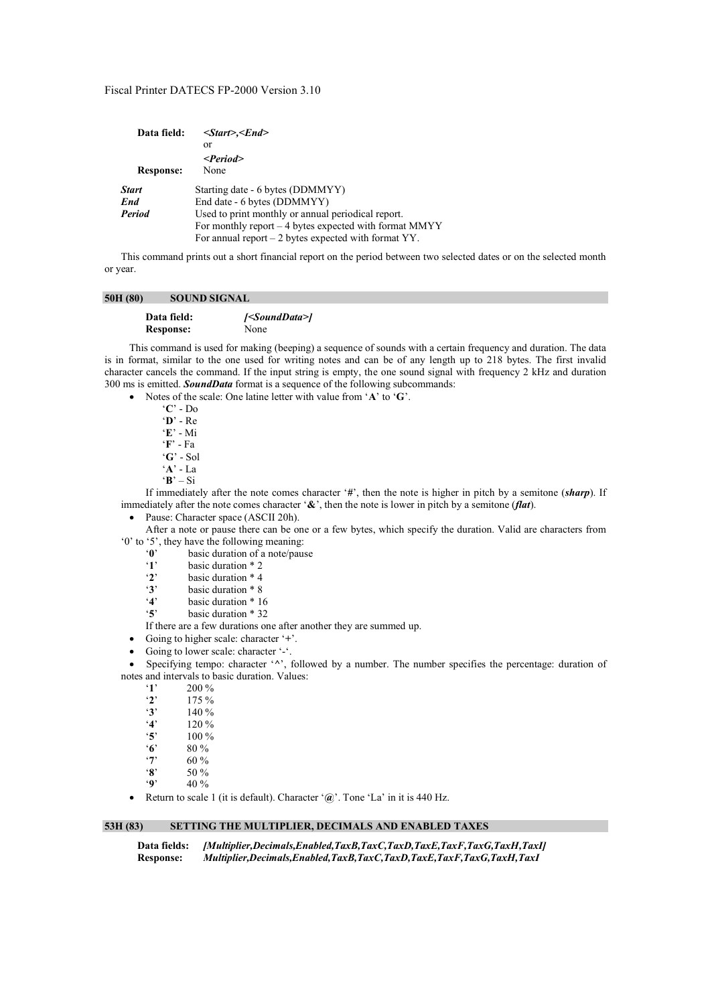| Data field:      | $\leq$ Start>, $\leq$ End>                             |
|------------------|--------------------------------------------------------|
|                  | or                                                     |
|                  | $\le$ Period $>$                                       |
| <b>Response:</b> | None                                                   |
| <b>Start</b>     | Starting date - 6 bytes (DDMMYY)                       |
| End              | End date - 6 bytes (DDMMYY)                            |
| <b>Period</b>    | Used to print monthly or annual periodical report.     |
|                  | For monthly report – 4 bytes expected with format MMYY |
|                  | For annual report $-2$ bytes expected with format YY.  |

This command prints out a short financial report on the period between two selected dates or on the selected month or year.

## 50H (80) SOUND SIGNAL

| Data field:      | <sounddata> </sounddata> |
|------------------|--------------------------|
| <b>Response:</b> | None                     |

This command is used for making (beeping) a sequence of sounds with a certain frequency and duration. The data is in format, similar to the one used for writing notes and can be of any length up to 218 bytes. The first invalid character cancels the command. If the input string is empty, the one sound signal with frequency 2 kHz and duration 300 ms is emitted. *SoundData* format is a sequence of the following subcommands:

• Notes of the scale: One latine letter with value from '**A**' to '**G**'.

'**C**' - Do '**D**' - Re '**E**' - Mi '**F**' - Fa '**G**' - Sol '**A**' - La  $\mathbf{R}' = \mathbf{S}$ i

If immediately after the note comes character '**#**', then the note is higher in pitch by a semitone (*sharp*). If immediately after the note comes character '**&**', then the note is lower in pitch by a semitone (*flat*).

Pause: Character space (ASCII 20h).

After a note or pause there can be one or a few bytes, which specify the duration. Valid are characters from '0' to '5', they have the following meaning:<br>'0' basic duration of a note/pau

- basic duration of a note/pause
- '**1**' basic duration  $*$  2<br>'**2**' basic duration  $*$  4
- '**2**' basic duration \* 4
- 
- $\dddot{3}$  basic duration \* 8<br> $\dddot{4}$  basic duration \* 1 basic duration \* 16
- '**5**' basic duration \* 32
- If there are a few durations one after another they are summed up.

• Going to higher scale: character '**+**'.

• Going to lower scale: character '-'.

• Specifying tempo: character '**^**', followed by a number. The number specifies the percentage: duration of notes and intervals to basic duration. Values:

 $\begin{array}{cc} \n ^{4} \cdot \mathbf{1} & 200 \% \\ \n ^{2} & 175 \% \n \end{array}$ 

- $\begin{array}{cc} \mathbf{2}' & 175\% \\ \mathbf{3}' & 140\% \end{array}$
- $'3'$  140 %<br>  $'4'$  120 %
- '**4**' 120 %
- $'5'$  100 %<br>  $'6'$  80 %
- '**6**' 80 %
- '**7**' 60 %
- '**8**' 50 %<br>'9' 40 %
- '**9**' 40 %
- Return to scale 1 (it is default). Character '**@**'. Tone 'La' in it is 440 Hz.

# **53H (83) SETTING THE MULTIPLIER, DECIMALS AND ENABLED TAXES**

**Data fields:** *[Multiplier,Decimals,Enabled,TaxB,TaxC,TaxD,TaxE,TaxF,TaxG,TaxH,TaxI]*  **Response:** *Multiplier,Decimals,Enabled,TaxB,TaxC,TaxD,TaxE,TaxF,TaxG,TaxH,TaxI*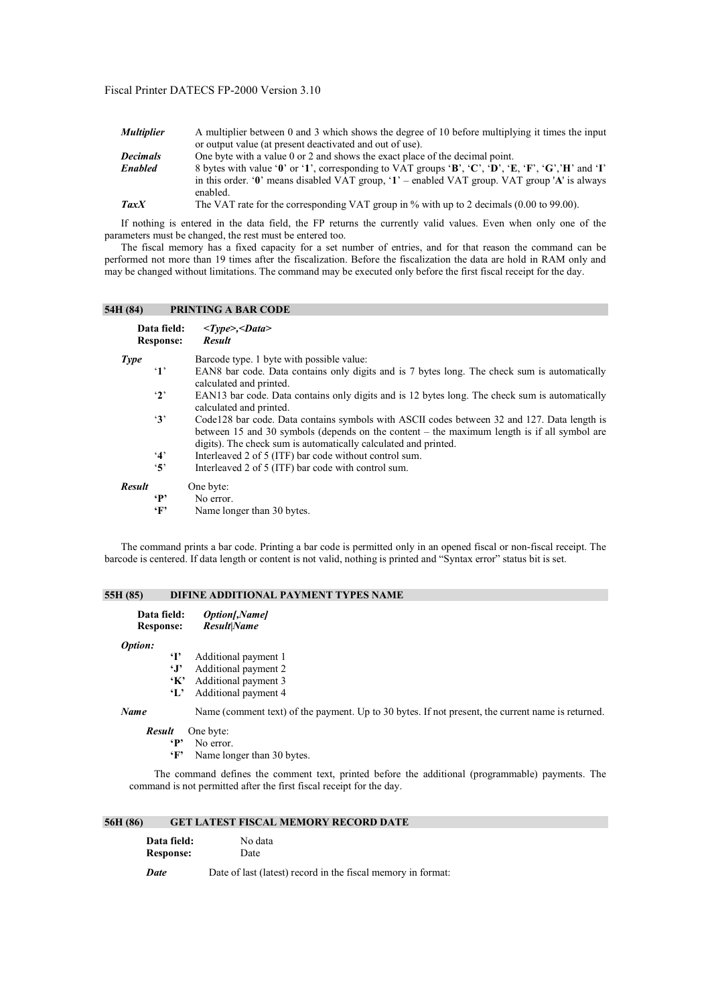| Multiplier  | A multiplier between 0 and 3 which shows the degree of 10 before multiplying it times the input     |
|-------------|-----------------------------------------------------------------------------------------------------|
|             | or output value (at present deactivated and out of use).                                            |
| Decimals    | One byte with a value 0 or 2 and shows the exact place of the decimal point.                        |
| Enabled     | 8 bytes with value '0' or '1', corresponding to VAT groups 'B', 'C', 'D', 'E, 'F', 'G', 'H' and 'I' |
|             | in this order. '0' means disabled VAT group, '1' – enabled VAT group. VAT group 'A' is always       |
|             | enabled.                                                                                            |
| <b>TaxX</b> | The VAT rate for the corresponding VAT group in $\%$ with up to 2 decimals (0.00 to 99.00).         |

If nothing is entered in the data field, the FP returns the currently valid values. Even when only one of the parameters must be changed, the rest must be entered too.

The fiscal memory has a fixed capacity for a set number of entries, and for that reason the command can be performed not more than 19 times after the fiscalization. Before the fiscalization the data are hold in RAM only and may be changed without limitations. The command may be executed only before the first fiscal receipt for the day.

# **54H (84) PRINTING A BAR CODE**

|               | Data field:<br><b>Response:</b> | $<\!\!Type\!\!><\!\!Data\!\!>$<br><b>Result</b>                                                                                                                                                                                                                |
|---------------|---------------------------------|----------------------------------------------------------------------------------------------------------------------------------------------------------------------------------------------------------------------------------------------------------------|
| Type          |                                 | Barcode type. 1 byte with possible value:                                                                                                                                                                                                                      |
|               | $^{\circ}1^{\circ}$             | EAN8 bar code. Data contains only digits and is 7 bytes long. The check sum is automatically<br>calculated and printed.                                                                                                                                        |
|               | $\mathbf{r}$                    | EAN13 bar code. Data contains only digits and is 12 bytes long. The check sum is automatically<br>calculated and printed.                                                                                                                                      |
|               | 3'                              | Code 128 bar code. Data contains symbols with ASCII codes between 32 and 127. Data length is<br>between 15 and 30 symbols (depends on the content – the maximum length is if all symbol are<br>digits). The check sum is automatically calculated and printed. |
|               | 4'                              | Interleaved 2 of 5 (ITF) bar code without control sum.                                                                                                                                                                                                         |
|               | $5^{\circ}$                     | Interleaved 2 of 5 (ITF) bar code with control sum.                                                                                                                                                                                                            |
| <b>Result</b> |                                 | One byte:                                                                                                                                                                                                                                                      |
|               | $\mathbf{P}$                    | No error.                                                                                                                                                                                                                                                      |
|               | $\cdot_F$                       | Name longer than 30 bytes.                                                                                                                                                                                                                                     |

The command prints a bar code. Printing a bar code is permitted only in an opened fiscal or non-fiscal receipt. The barcode is centered. If data length or content is not valid, nothing is printed and "Syntax error" status bit is set.

# **55H (85) DIFINE ADDITIONAL PAYMENT TYPES NAME**

| Data field:      |                                             | <i><b>Option</b>[,Name]</i>                                                                  |
|------------------|---------------------------------------------|----------------------------------------------------------------------------------------------|
| <b>Response:</b> |                                             | <b>Result Name</b>                                                                           |
| Option:          | $\cdot$ r<br>$\cdot$ r<br>$\cdot$ K'<br>ч., | Additional payment 1<br>Additional payment 2<br>Additional payment 3<br>Additional payment 4 |

*Name* Name (comment text) of the payment. Up to 30 bytes. If not present, the current name is returned.

*Result* One byte:

**'P'** No error.

**'F'** Name longer than 30 bytes.

The command defines the comment text, printed before the additional (programmable) payments. The command is not permitted after the first fiscal receipt for the day.

# **56H (86) GET LATEST FISCAL MEMORY RECORD DATE**

| <b>Data field:</b> | No data                                                                                            |
|--------------------|----------------------------------------------------------------------------------------------------|
| <b>Response:</b>   | Date                                                                                               |
| $\mathbf{L}$       | $D_{i+1}$ of $D_{i+1}$ ( $D_{i+1}$ ) and $D_{i+1}$ in the finite second and $D_{i+1}$ on $D_{i+1}$ |

*Date* Date of last (latest) record in the fiscal memory in format: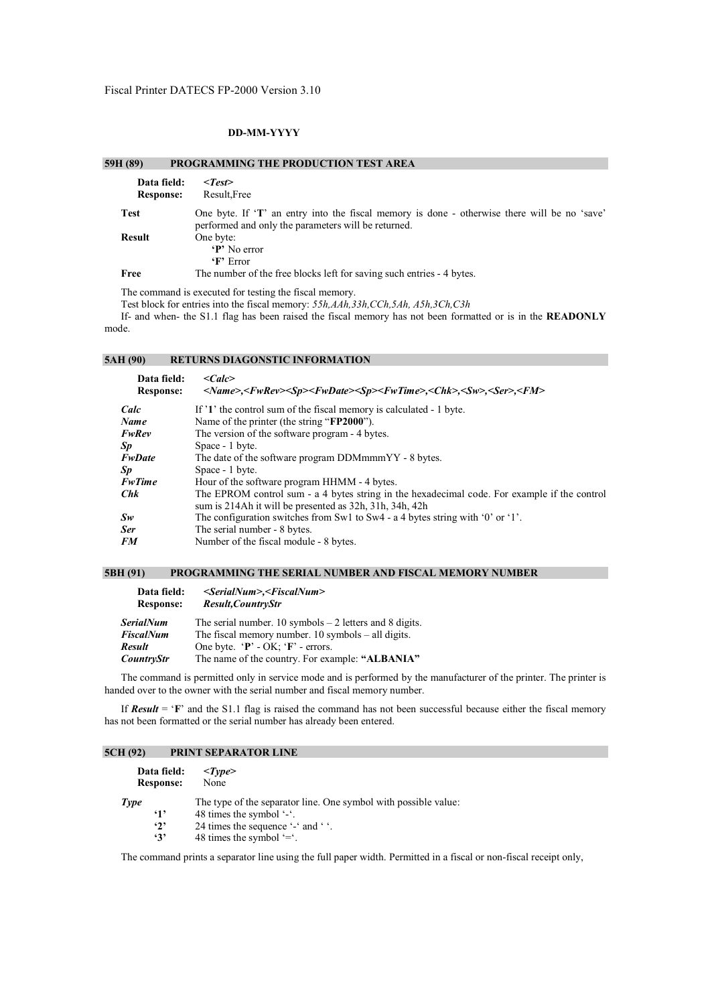# **DD-MM-YYYY**

| 59H (89)                        | PROGRAMMING THE PRODUCTION TEST AREA                                                                                                                |
|---------------------------------|-----------------------------------------------------------------------------------------------------------------------------------------------------|
| Data field:<br><b>Response:</b> | $<$ Test $>$<br>Result, Free                                                                                                                        |
| <b>Test</b>                     | One byte. If 'T' an entry into the fiscal memory is done - otherwise there will be no 'save'<br>performed and only the parameters will be returned. |
| <b>Result</b>                   | One byte:<br>'P' No error<br>$\mathbf{F}$ Error                                                                                                     |
| Free                            | The number of the free blocks left for saving such entries - 4 bytes.                                                                               |

The command is executed for testing the fiscal memory.

Test block for entries into the fiscal memory: *55h,AAh,33h,CCh,5Ah, A5h,3Ch,C3h*

If- and when- the S1.1 flag has been raised the fiscal memory has not been formatted or is in the **READONLY** mode.

# **5AH (90) RETURNS DIAGONSTIC INFORMATION**

| $\langle Calc \rangle$<br><name>,<fwrev><sp><fwdate><sp><fwtime>,<chk>,<sw>,<ser>,<fm></fm></ser></sw></chk></fwtime></sp></fwdate></sp></fwrev></name> |
|---------------------------------------------------------------------------------------------------------------------------------------------------------|
| If '1' the control sum of the fiscal memory is calculated - 1 byte.                                                                                     |
| Name of the printer (the string "FP2000").                                                                                                              |
| The version of the software program - 4 bytes.                                                                                                          |
| Space - 1 byte.                                                                                                                                         |
| The date of the software program DDMmmmYY - 8 bytes.                                                                                                    |
| Space - 1 byte.                                                                                                                                         |
| Hour of the software program HHMM - 4 bytes.                                                                                                            |
| The EPROM control sum - a 4 bytes string in the hexadecimal code. For example if the control<br>sum is 214Ah it will be presented as 32h, 31h, 34h, 42h |
| The configuration switches from Sw1 to Sw4 - a 4 bytes string with '0' or '1'.                                                                          |
| The serial number - 8 bytes.                                                                                                                            |
| Number of the fiscal module - 8 bytes.                                                                                                                  |
|                                                                                                                                                         |

# **5BH (91) PROGRAMMING THE SERIAL NUMBER AND FISCAL MEMORY NUMBER**

| Data field:<br><b>Response:</b> | $\le$ SerialNum>, $\le$ FiscalNum><br>Result, CountryStr |
|---------------------------------|----------------------------------------------------------|
| SerialNum                       | The serial number. 10 symbols $-2$ letters and 8 digits. |
| <b>FiscalNum</b>                | The fiscal memory number. $10$ symbols $-$ all digits.   |
| Result                          | One byte. $\mathbf{P}'$ - OK; $\mathbf{F}'$ - errors.    |
| <b>CountryStr</b>               | The name of the country. For example: "ALBANIA"          |

The command is permitted only in service mode and is performed by the manufacturer of the printer. The printer is handed over to the owner with the serial number and fiscal memory number.

If *Result* = '**F**' and the S1.1 flag is raised the command has not been successful because either the fiscal memory has not been formatted or the serial number has already been entered.

# **5CH (92) PRINT SEPARATOR LINE**

| Data field:      | $<\!\!Type\!\!>$                                                |
|------------------|-----------------------------------------------------------------|
| <b>Response:</b> | None                                                            |
| Type             | The type of the separator line. One symbol with possible value: |
| $\cdot$ 1'       | 48 times the symbol '-'.                                        |
| $\cdot_2$ ,      | 24 times the sequence '-' and ' '.                              |
| $\cdot$ 3'       | 48 times the symbol $=$ .                                       |

The command prints a separator line using the full paper width. Permitted in a fiscal or non-fiscal receipt only,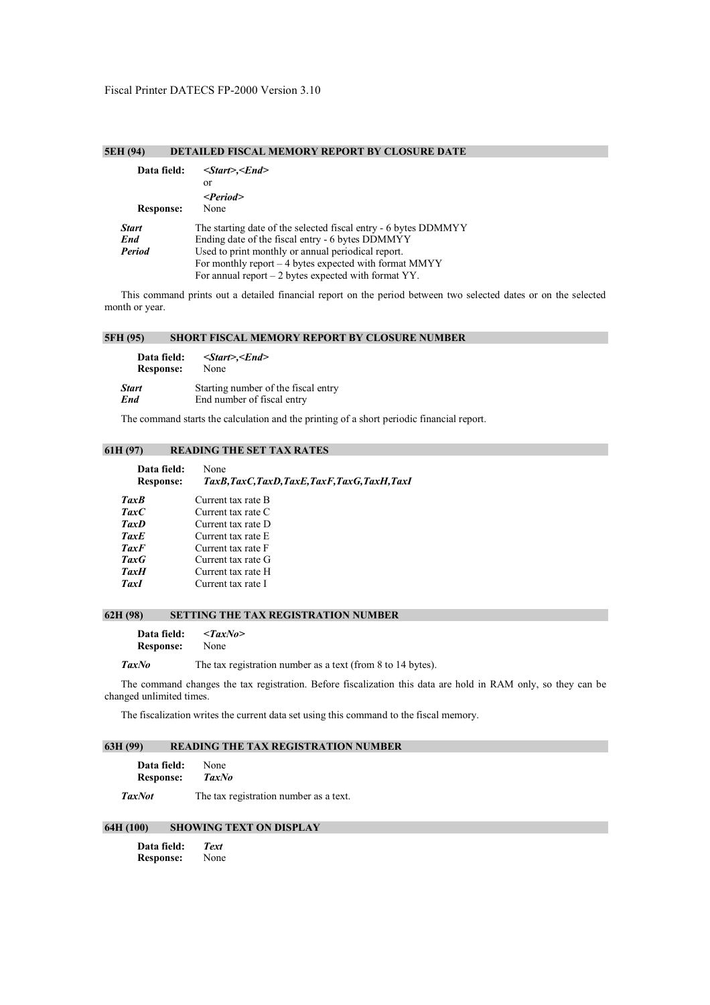# **5EH (94) DETAILED FISCAL MEMORY REPORT BY CLOSURE DATE**

| Data field:      | $<$ Start>, $<$ End>                                            |
|------------------|-----------------------------------------------------------------|
|                  | or                                                              |
|                  | $\leq$ Period $>$                                               |
| <b>Response:</b> | None                                                            |
| <b>Start</b>     | The starting date of the selected fiscal entry - 6 bytes DDMMYY |
| End              | Ending date of the fiscal entry - 6 bytes DDMMYY                |
| <b>Period</b>    | Used to print monthly or annual periodical report.              |
|                  | For monthly report $-4$ bytes expected with format MMYY         |
|                  | For annual report $-2$ bytes expected with format YY.           |

This command prints out a detailed financial report on the period between two selected dates or on the selected month or year.

## **5FH (95) SHORT FISCAL MEMORY REPORT BY CLOSURE NUMBER**

| Data field:      | $<$ Start>, $<$ End>                |
|------------------|-------------------------------------|
| <b>Response:</b> | None                                |
| <b>Start</b>     | Starting number of the fiscal entry |
| End              | End number of fiscal entry          |

The command starts the calculation and the printing of a short periodic financial report.

# **61H (97) READING THE SET TAX RATES**

| Data field:<br><b>Response:</b> | None<br>TaxB,TaxC,TaxD,TaxE,TaxF,TaxG,TaxH,TaxI |
|---------------------------------|-------------------------------------------------|
|                                 |                                                 |
| <b>TaxB</b>                     | Current tax rate B                              |
| <b>TaxC</b>                     | Current tax rate C                              |
| <b>TaxD</b>                     | Current tax rate D                              |
| <b>TaxE</b>                     | Current tax rate E                              |
| <b>TaxF</b>                     | Current tax rate F                              |
| <b>TaxG</b>                     | Current tax rate G                              |
| <b>TaxH</b>                     | Current tax rate H                              |
| TaxI                            | Current tax rate I                              |

# **62H (98) SETTING THE TAX REGISTRATION NUMBER**

**Data field:** *<TaxNo>* **Response:** None

TaxNo The tax registration number as a text (from 8 to 14 bytes).

The command changes the tax registration. Before fiscalization this data are hold in RAM only, so they can be changed unlimited times.

The fiscalization writes the current data set using this command to the fiscal memory.

# **63H (99) READING THE TAX REGISTRATION NUMBER**

| Data field:      | None         |  |  |
|------------------|--------------|--|--|
| <b>Response:</b> | <b>TaxNo</b> |  |  |
|                  | __           |  |  |

**TaxNot** The tax registration number as a text.

# **64H (100) SHOWING TEXT ON DISPLAY**

| Data field:      | <b>Text</b> |
|------------------|-------------|
| <b>Response:</b> | None        |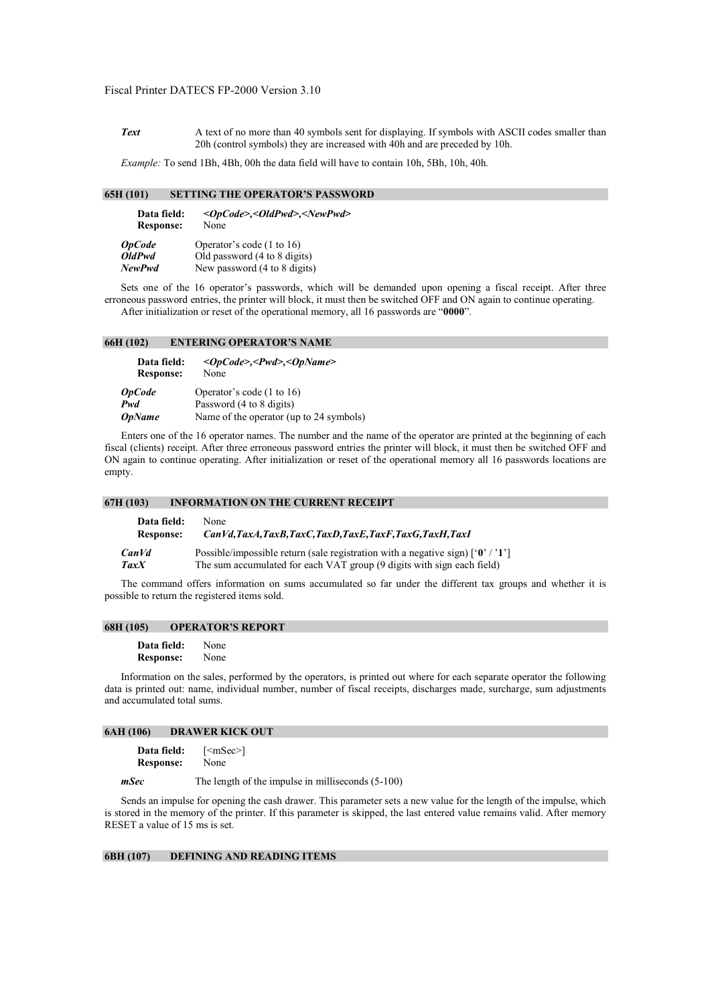**Text** A text of no more than 40 symbols sent for displaying. If symbols with ASCII codes smaller than 20h (control symbols) they are increased with 40h and are preceded by 10h.

*Example:* To send 1Bh, 4Bh, 00h the data field will have to contain 10h, 5Bh, 10h, 40h*.* 

# **65H (101) SETTING THE OPERATOR'S PASSWORD**

| Data field:<br><b>Response:</b> | <opcode>,<oldpwd>,<newpwd><br/>None</newpwd></oldpwd></opcode> |  |
|---------------------------------|----------------------------------------------------------------|--|
| <b>OpCode</b>                   | Operator's code (1 to 16)                                      |  |
| <b>OldPwd</b>                   | Old password (4 to 8 digits)                                   |  |
| NewPwd                          | New password (4 to 8 digits)                                   |  |

Sets one of the 16 operator's passwords, which will be demanded upon opening a fiscal receipt. After three erroneous password entries, the printer will block, it must then be switched OFF and ON again to continue operating. After initialization or reset of the operational memory, all 16 passwords are "**0000**".

### **66H (102) ENTERING OPERATOR'S NAME**

| Data field:<br><b>Response:</b> | $<\!\!OpCode\!\!><\!\!Pwd\!\!><\!\!OpName\!\!>$<br>None |  |
|---------------------------------|---------------------------------------------------------|--|
| <b>OpCode</b>                   | Operator's code $(1 \text{ to } 16)$                    |  |
| Pwd                             | Password (4 to 8 digits)                                |  |
| <b>OpName</b>                   | Name of the operator (up to 24 symbols)                 |  |

Enters one of the 16 operator names. The number and the name of the operator are printed at the beginning of each fiscal (clients) receipt. After three erroneous password entries the printer will block, it must then be switched OFF and ON again to continue operating. After initialization or reset of the operational memory all 16 passwords locations are empty.

| 67H(103)         | <b>INFORMATION ON THE CURRENT RECEIPT</b>                                                        |
|------------------|--------------------------------------------------------------------------------------------------|
| Data field:      | None                                                                                             |
| <b>Response:</b> | CanVd,TaxA,TaxB,TaxC,TaxD,TaxE,TaxF,TaxG,TaxH,TaxI                                               |
| CanVd            | Possible/impossible return (sale registration with a negative sign) $\lceil 0 \rceil / 1 \rceil$ |
| <b>TaxX</b>      | The sum accumulated for each VAT group (9 digits with sign each field)                           |

The command offers information on sums accumulated so far under the different tax groups and whether it is possible to return the registered items sold.

#### **68H (105) OPERATOR'S REPORT**

**Data field:** None **Response:** None

Information on the sales, performed by the operators, is printed out where for each separate operator the following data is printed out: name, individual number, number of fiscal receipts, discharges made, surcharge, sum adjustments and accumulated total sums.

#### **6AH (106) DRAWER KICK OUT**

| Data field:      |      |
|------------------|------|
| <b>Response:</b> | None |

*mSec* The length of the impulse in milliseconds (5-100)

Sends an impulse for opening the cash drawer. This parameter sets a new value for the length of the impulse, which is stored in the memory of the printer. If this parameter is skipped, the last entered value remains valid. After memory RESET a value of 15 ms is set.

## **6BH (107) DEFINING AND READING ITEMS**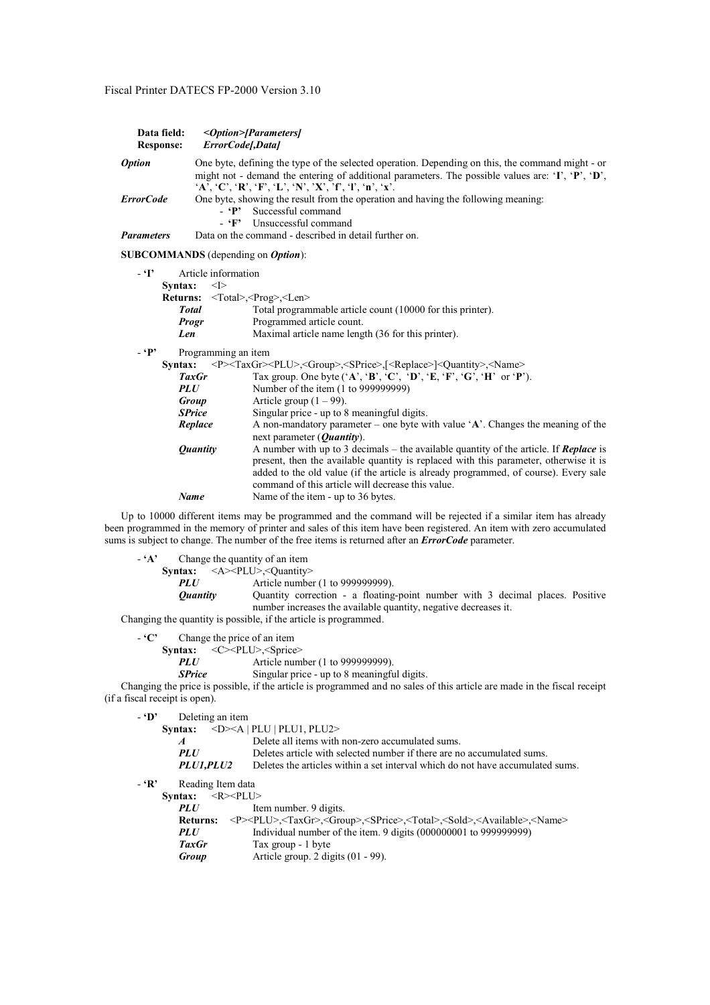| Data field:<br><b>Response:</b>                                                                                                                                                                                                                                                                                                                                                                                                                                                                                                 | <option>[Parameters]<br/>ErrorCodel,Datal</option>                                                                                                                                                                                                                                                                                                                                                                |
|---------------------------------------------------------------------------------------------------------------------------------------------------------------------------------------------------------------------------------------------------------------------------------------------------------------------------------------------------------------------------------------------------------------------------------------------------------------------------------------------------------------------------------|-------------------------------------------------------------------------------------------------------------------------------------------------------------------------------------------------------------------------------------------------------------------------------------------------------------------------------------------------------------------------------------------------------------------|
| <i><b>Option</b></i>                                                                                                                                                                                                                                                                                                                                                                                                                                                                                                            | One byte, defining the type of the selected operation. Depending on this, the command might - or<br>might not - demand the entering of additional parameters. The possible values are: ' $\mathbf{T}$ , ' $\mathbf{P}'$ ', ' $\mathbf{D}'$ ',<br>$A', C', R', F', L', N', X', T, T', n', 'x'.$                                                                                                                    |
| <b>ErrorCode</b>                                                                                                                                                                                                                                                                                                                                                                                                                                                                                                                | One byte, showing the result from the operation and having the following meaning:<br>$ \cdot$ $\mathbf{P}$<br>Successful command<br>Unsuccessful command<br>- 'F'                                                                                                                                                                                                                                                 |
| <b>Parameters</b>                                                                                                                                                                                                                                                                                                                                                                                                                                                                                                               | Data on the command - described in detail further on.                                                                                                                                                                                                                                                                                                                                                             |
|                                                                                                                                                                                                                                                                                                                                                                                                                                                                                                                                 | <b>SUBCOMMANDS</b> (depending on <i>Option</i> ):                                                                                                                                                                                                                                                                                                                                                                 |
| - T<br>Article information<br>Syntax:<br>$\leq$ $\geq$<br>Returns: <total>,<prog>,<len><br/>Total programmable article count (10000 for this printer).<br/><b>Total</b><br/>Programmed article count.<br/><b>Progr</b><br/>Maximal article name length (36 for this printer).<br/>Len<br/><math> \cdot</math> <math>\mathbf{P}</math><br/>Programming an item<br/><p><taxgr><plu>,<group>,<sprice>,[<replace>]<quantity>,<name><br/>Syntax:</name></quantity></replace></sprice></group></plu></taxgr></p></len></prog></total> |                                                                                                                                                                                                                                                                                                                                                                                                                   |
|                                                                                                                                                                                                                                                                                                                                                                                                                                                                                                                                 | Tax group. One byte $(^{\circ}A^{\circ}, ^{\circ}B^{\circ}, ^{\circ}C^{\circ}, ^{\circ}D^{\circ}, ^{\circ}E, ^{\circ}F^{\circ}, ^{\circ}G^{\circ}, ^{\circ}H^{\circ}$ or $^{\circ}P^{\circ}$ ).<br><b>TaxGr</b><br>Number of the item (1 to 999999999)<br><b>PLU</b>                                                                                                                                              |
|                                                                                                                                                                                                                                                                                                                                                                                                                                                                                                                                 | Article group $(1 – 99)$ .<br>Group<br><b>SPrice</b><br>Singular price - up to 8 meaningful digits.                                                                                                                                                                                                                                                                                                               |
|                                                                                                                                                                                                                                                                                                                                                                                                                                                                                                                                 | A non-mandatory parameter – one byte with value $A'$ . Changes the meaning of the<br>Replace<br>next parameter $(Quantity)$ .                                                                                                                                                                                                                                                                                     |
|                                                                                                                                                                                                                                                                                                                                                                                                                                                                                                                                 | A number with up to 3 decimals – the available quantity of the article. If <b>Replace</b> is<br><i><b>Quantity</b></i><br>present, then the available quantity is replaced with this parameter, otherwise it is<br>added to the old value (if the article is already programmed, of course). Every sale<br>command of this article will decrease this value.<br><b>Name</b><br>Name of the item - up to 36 bytes. |
|                                                                                                                                                                                                                                                                                                                                                                                                                                                                                                                                 | Up to 10000 different items may be programmed and the command will be rejected if a similar item has already                                                                                                                                                                                                                                                                                                      |

been programmed in the memory of printer and sales of this item have been registered. An item with zero accumulated sums is subject to change. The number of the free items is returned after an *ErrorCode* parameter.

- **'A'** Change the quantity of an item

**Syntax:** <A><PLU>,<Quantity>

*PLU* Article number (1 to 999999999).

*Quantity* Quantity correction - a floating-point number with 3 decimal places. Positive number increases the available quantity, negative decreases it.

Changing the quantity is possible, if the article is programmed.

- **'C'** Change the price of an item

**Syntax:** <C><PLU>,<Sprice><br>PLU<br>Article num

*PLU* Article number (1 to 999999999).<br> *SPrice* Singular price - up to 8 meaningfund

*Singular price* - up to 8 meaningful digits.

Changing the price is possible, if the article is programmed and no sales of this article are made in the fiscal receipt (if a fiscal receipt is open).

- **'D'** Deleting an item

Syntax: <D><A | PLU | PLU1, PLU2>

| $\overline{A}$ | Delete all items with non-zero accumulated sums.                               |
|----------------|--------------------------------------------------------------------------------|
| <i>PLU</i>     | Deletes article with selected number if there are no accumulated sums.         |
| PLU1.PLU2      | Deletes the articles within a set interval which do not have accumulated sums. |
|                |                                                                                |

- **'R'** Reading Item data

| Syntax: | $<$ R $>$ PLU $>$ |
|---------|-------------------|
|---------|-------------------|

| <i>PLU</i>      | Item number. 9 digits.                                                                                                                   |
|-----------------|------------------------------------------------------------------------------------------------------------------------------------------|
| <b>Returns:</b> | <p><plu>,<taxgr>,<group>,<sprice>,<total>,<sold>,<available>,<name></name></available></sold></total></sprice></group></taxgr></plu></p> |
| <b>PLU</b>      | Individual number of the item. 9 digits $(000000001$ to 9999999999)                                                                      |
| <b>TaxGr</b>    | Tax group - 1 byte                                                                                                                       |

*Group* Article group. 2 digits (01 - 99).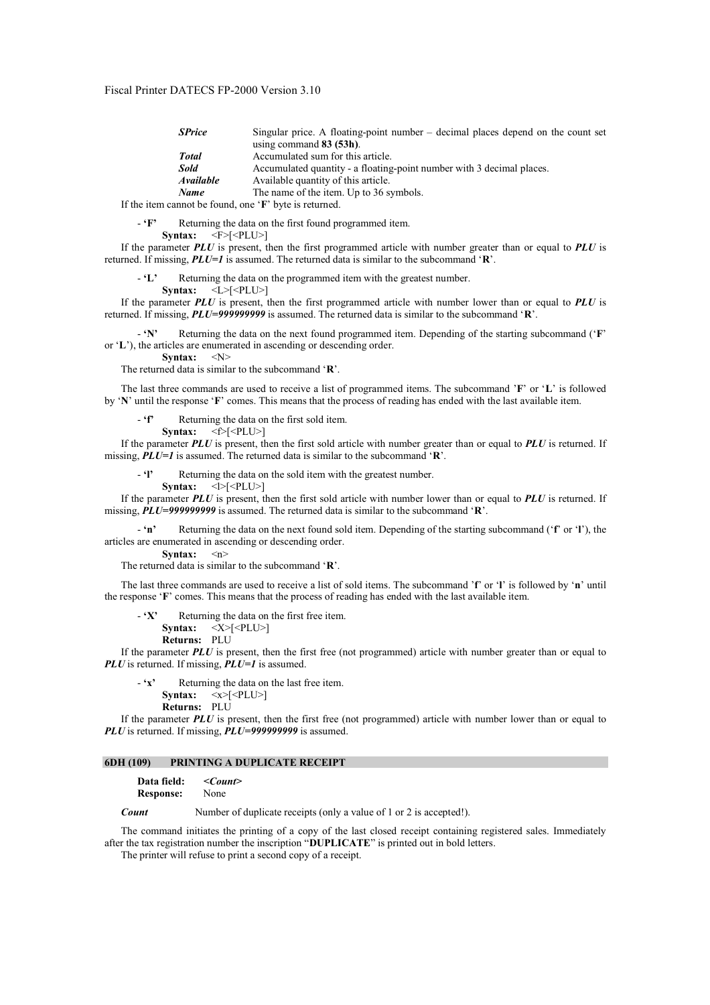| <b>SPrice</b>                                                    | Singular price. A floating-point number – decimal places depend on the count set |
|------------------------------------------------------------------|----------------------------------------------------------------------------------|
|                                                                  | using command $83(53h)$ .                                                        |
| Total                                                            | Accumulated sum for this article.                                                |
| Sold                                                             | Accumulated quantity - a floating-point number with 3 decimal places.            |
| <i><b>Available</b></i>                                          | Available quantity of this article.                                              |
| <b>Name</b>                                                      | The name of the item. Up to 36 symbols.                                          |
| If the item cannot be found, one $\mathbf{F}'$ byte is returned. |                                                                                  |

- **'F'** Returning the data on the first found programmed item.

**Syntax:**  $\langle F \rangle [\langle \text{PLU} \rangle]$ 

If the parameter *PLU* is present, then the first programmed article with number greater than or equal to *PLU* is returned. If missing, *PLU=1* is assumed. The returned data is similar to the subcommand '**R**'.

- **'L'** Returning the data on the programmed item with the greatest number.

**Syntax:** <L>[<PLU>]

If the parameter *PLU* is present, then the first programmed article with number lower than or equal to *PLU* is returned. If missing, *PLU=999999999* is assumed. The returned data is similar to the subcommand '**R**'.

- **'N'** Returning the data on the next found programmed item. Depending of the starting subcommand ('**F**' or '**L**'), the articles are enumerated in ascending or descending order.

Syntax: <N>

The returned data is similar to the subcommand '**R**'.

The last three commands are used to receive a list of programmed items. The subcommand '**F**' or '**L**' is followed by '**N**' until the response '**F**' comes. This means that the process of reading has ended with the last available item.

Returning the data on the first sold item.

**Syntax:**  $\langle f \rangle$ [ $\langle$ PLU $\rangle$ ]

If the parameter *PLU* is present, then the first sold article with number greater than or equal to *PLU* is returned. If missing, *PLU=1* is assumed. The returned data is similar to the subcommand '**R**'.

Returning the data on the sold item with the greatest number.

**Syntax:**  $\langle \rangle$ [<PLU>]

If the parameter *PLU* is present, then the first sold article with number lower than or equal to *PLU* is returned. If missing, *PLU=999999999* is assumed. The returned data is similar to the subcommand '**R**'.

- **'n'** Returning the data on the next found sold item. Depending of the starting subcommand ('**f**' or '**l**'), the articles are enumerated in ascending or descending order.

**Syntax:** <n>

The returned data is similar to the subcommand '**R**'.

The last three commands are used to receive a list of sold items. The subcommand '**f**' or '**l**' is followed by '**n**' until the response '**F**' comes. This means that the process of reading has ended with the last available item.

- **'X'** Returning the data on the first free item.

**Syntax:**  $\langle X \rangle$ [ $\langle$ PLU $\rangle$ ]

**Returns:** PLU

If the parameter *PLU* is present, then the first free (not programmed) article with number greater than or equal to *PLU* is returned. If missing, *PLU=1* is assumed.

Returning the data on the last free item. **Syntax:**  $\langle x \rangle$   $\langle \langle \text{PLU} \rangle$ **Returns:** PLU

If the parameter *PLU* is present, then the first free (not programmed) article with number lower than or equal to *PLU* is returned. If missing, *PLU=999999999* is assumed.

#### **6DH (109) PRINTING A DUPLICATE RECEIPT**

**Data field:** *<Count>*

**Response:** None

*Count* Number of duplicate receipts (only a value of 1 or 2 is accepted!).

The command initiates the printing of a copy of the last closed receipt containing registered sales. Immediately after the tax registration number the inscription "**DUPLICATE**" is printed out in bold letters.

The printer will refuse to print a second copy of a receipt.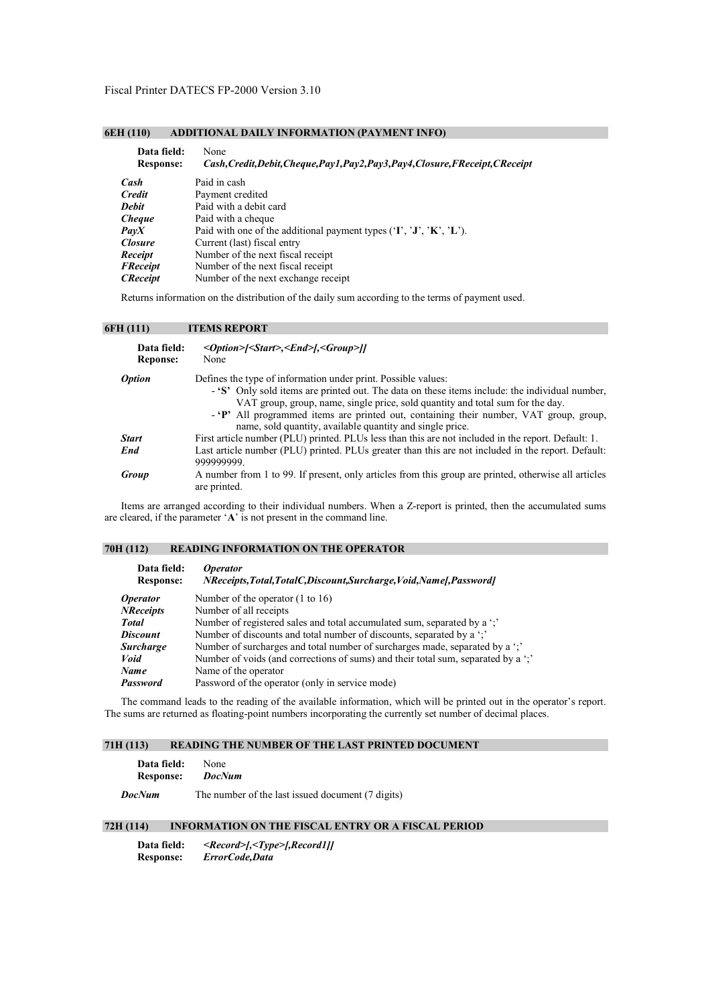# **6EH (110) ADDITIONAL DAILY INFORMATION (PAYMENT INFO)**

| Data field:      | None                                                                             |
|------------------|----------------------------------------------------------------------------------|
| <b>Response:</b> | Cash, Credit, Debit, Cheque, Pay1, Pay2, Pay3, Pay4, Closure, FReceipt, CReceipt |
| Cash             | Paid in cash                                                                     |
| <b>Credit</b>    | Payment credited                                                                 |
| <b>Debit</b>     | Paid with a debit card                                                           |
| <i>Cheque</i>    | Paid with a cheque                                                               |
| PavX             | Paid with one of the additional payment types $(T, 'J', 'K', 'L').$              |
| <b>Closure</b>   | Current (last) fiscal entry                                                      |
| Receipt          | Number of the next fiscal receipt                                                |
| <b>FReceipt</b>  | Number of the next fiscal receipt                                                |
| <b>CReceipt</b>  | Number of the next exchange receipt                                              |

Returns information on the distribution of the daily sum according to the terms of payment used.

## **6FH (111) ITEMS REPORT**

| Data field:<br><b>Reponse:</b> | < <i>Option&gt;[<start>,<end>],<group>]]</group></end></start></i><br>None                                                                                                                                                                                                                                                                                                                               |
|--------------------------------|----------------------------------------------------------------------------------------------------------------------------------------------------------------------------------------------------------------------------------------------------------------------------------------------------------------------------------------------------------------------------------------------------------|
| <b>Option</b>                  | Defines the type of information under print. Possible values:<br>- 'S' Only sold items are printed out. The data on these items include: the individual number,<br>VAT group, group, name, single price, sold quantity and total sum for the day.<br>- 'P' All programmed items are printed out, containing their number, VAT group, group,<br>name, sold quantity, available quantity and single price. |
| <b>Start</b>                   | First article number (PLU) printed. PLUs less than this are not included in the report. Default: 1.                                                                                                                                                                                                                                                                                                      |
| End                            | Last article number (PLU) printed. PLUs greater than this are not included in the report. Default:<br>999999999                                                                                                                                                                                                                                                                                          |
| Group                          | A number from 1 to 99. If present, only articles from this group are printed, otherwise all articles<br>are printed.                                                                                                                                                                                                                                                                                     |

Items are arranged according to their individual numbers. When a Z-report is printed, then the accumulated sums are cleared, if the parameter '**A**' is not present in the command line.

# **70H (112) READING INFORMATION ON THE OPERATOR**

| <i><b>Operator</b></i><br>NReceipts, Total, TotalC, Discount, Surcharge, Void, Namef, Passwordf |
|-------------------------------------------------------------------------------------------------|
| Number of the operator $(1 to 16)$                                                              |
| Number of all receipts                                                                          |
| Number of registered sales and total accumulated sum, separated by a ';'                        |
| Number of discounts and total number of discounts, separated by a "."                           |
| Number of surcharges and total number of surcharges made, separated by a ""                     |
| Number of voids (and corrections of sums) and their total sum, separated by a ".                |
| Name of the operator                                                                            |
| Password of the operator (only in service mode)                                                 |
|                                                                                                 |

The command leads to the reading of the available information, which will be printed out in the operator's report. The sums are returned as floating-point numbers incorporating the currently set number of decimal places.

# **71H (113) READING THE NUMBER OF THE LAST PRINTED DOCUMENT**

| <b>Data field:</b> None |  |
|-------------------------|--|
| Response: <i>DocNum</i> |  |

*DocNum* The number of the last issued document (7 digits)

# **72H (114) INFORMATION ON THE FISCAL ENTRY OR A FISCAL PERIOD**

**Data field:** *<Record>[,<Type>[,Record1]]* **Response:** *ErrorCode,Data*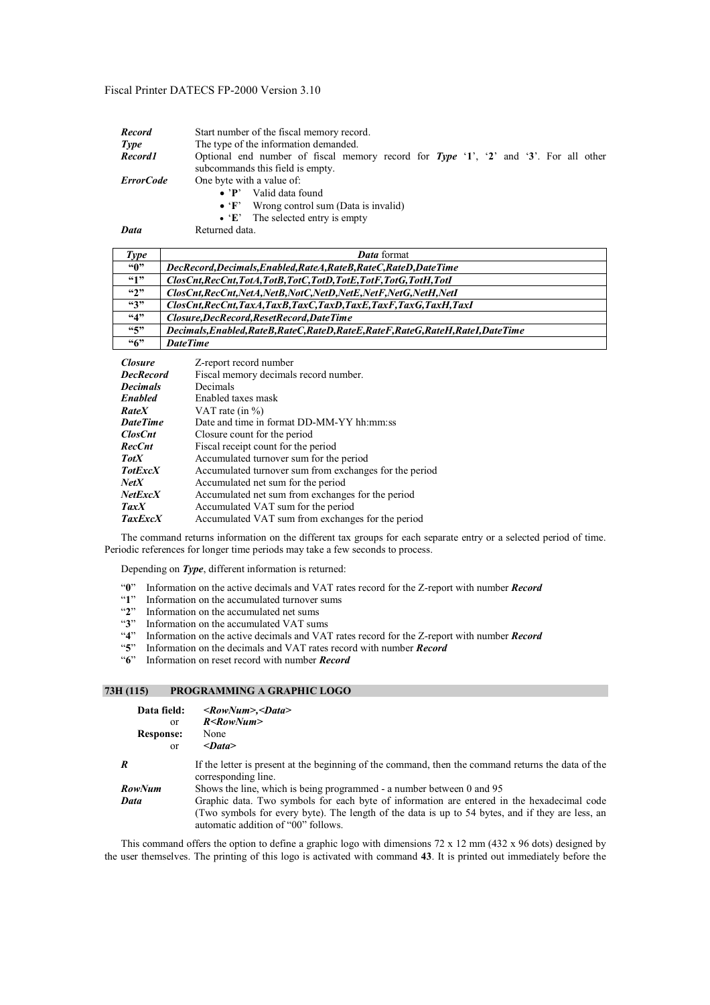| <b>Record</b>    | Start number of the fiscal memory record.                                                    |  |  |
|------------------|----------------------------------------------------------------------------------------------|--|--|
| Type             | The type of the information demanded.                                                        |  |  |
| Record1          | Optional end number of fiscal memory record for Type $'1'$ , $'2'$ and $'3'$ . For all other |  |  |
|                  | subcommands this field is empty.                                                             |  |  |
| <b>ErrorCode</b> | One byte with a value of:                                                                    |  |  |
|                  | Valid data found<br>$\bullet$ 'P'                                                            |  |  |
|                  | Wrong control sum (Data is invalid)<br>$\bullet$ 'F'                                         |  |  |
|                  | $\bullet$ 'E' The selected entry is empty                                                    |  |  |
|                  |                                                                                              |  |  |

*Data* Returned data.

| Type             | <b>Data</b> format                                                                  |
|------------------|-------------------------------------------------------------------------------------|
| ``0"             | DecRecord, Decimals, Enabled, RateA, RateB, RateC, RateD, DateTime                  |
| 49               | ClosCnt, RecCnt, TotA, TotB, TotC, TotD, TotE, TotF, TotG, TotH, TotI               |
| $\mathfrak{a}_2$ | ClosCnt, RecCnt, NetA, NetB, NotC, NetD, NetE, NetF, NetG, NetH, NetI               |
| 43"              | ClosCnt, RecCnt, TaxA, TaxB, TaxC, TaxD, TaxE, TaxF, TaxG, TaxH, TaxI               |
| 4,4              | Closure,DecRecord,ResetRecord,DateTime                                              |
| 55               | Decimals, Enabled, RateB, RateC, RateD, RateE, RateF, RateG, RateH, RateI, DateTime |
| ``6"             | <b>DateTime</b>                                                                     |

| <b>Closure</b>   | Z-report record number                                 |
|------------------|--------------------------------------------------------|
| <b>DecRecord</b> | Fiscal memory decimals record number.                  |
| <b>Decimals</b>  | Decimals                                               |
| <b>Enabled</b>   | Enabled taxes mask                                     |
| <b>RateX</b>     | VAT rate (in $\%$ )                                    |
| <b>DateTime</b>  | Date and time in format DD-MM-YY hh:mm:ss              |
| <b>ClosCnt</b>   | Closure count for the period                           |
| <b>RecCnt</b>    | Fiscal receipt count for the period                    |
| <b>TotX</b>      | Accumulated turnover sum for the period                |
| <b>TotExcX</b>   | Accumulated turnover sum from exchanges for the period |
| NetX             | Accumulated net sum for the period                     |
| <b>NetExcX</b>   | Accumulated net sum from exchanges for the period      |
| TaxX             | Accumulated VAT sum for the period                     |
| <b>TaxExcX</b>   | Accumulated VAT sum from exchanges for the period      |

The command returns information on the different tax groups for each separate entry or a selected period of time. Periodic references for longer time periods may take a few seconds to process.

Depending on *Type*, different information is returned:

- "**0**" Information on the active decimals and VAT rates record for the Z-report with number *Record*
- "**1**" Information on the accumulated turnover sums
- "**2**" Information on the accumulated net sums
- "**3**" Information on the accumulated VAT sums
- "**4**" Information on the active decimals and VAT rates record for the Z-report with number *Record*
- "**5**" Information on the decimals and VAT rates record with number *Record*
- "**6**" Information on reset record with number *Record*

# **73H (115) PROGRAMMING A GRAPHIC LOGO**

| Data field:<br>or<br><b>Response:</b><br>or | $\langle RowNum \rangle, \langle Data \rangle$<br>$R <$ RowNum $>$<br>None<br>$<$ Data>                                                                                                                                               |
|---------------------------------------------|---------------------------------------------------------------------------------------------------------------------------------------------------------------------------------------------------------------------------------------|
| R                                           | If the letter is present at the beginning of the command, then the command returns the data of the<br>corresponding line.                                                                                                             |
| RowNum                                      | Shows the line, which is being programmed - a number between 0 and 95                                                                                                                                                                 |
| Data                                        | Graphic data. Two symbols for each byte of information are entered in the hexadecimal code<br>(Two symbols for every byte). The length of the data is up to 54 bytes, and if they are less, an<br>automatic addition of "00" follows. |

This command offers the option to define a graphic logo with dimensions 72 x 12 mm (432 x 96 dots) designed by the user themselves. The printing of this logo is activated with command **43**. It is printed out immediately before the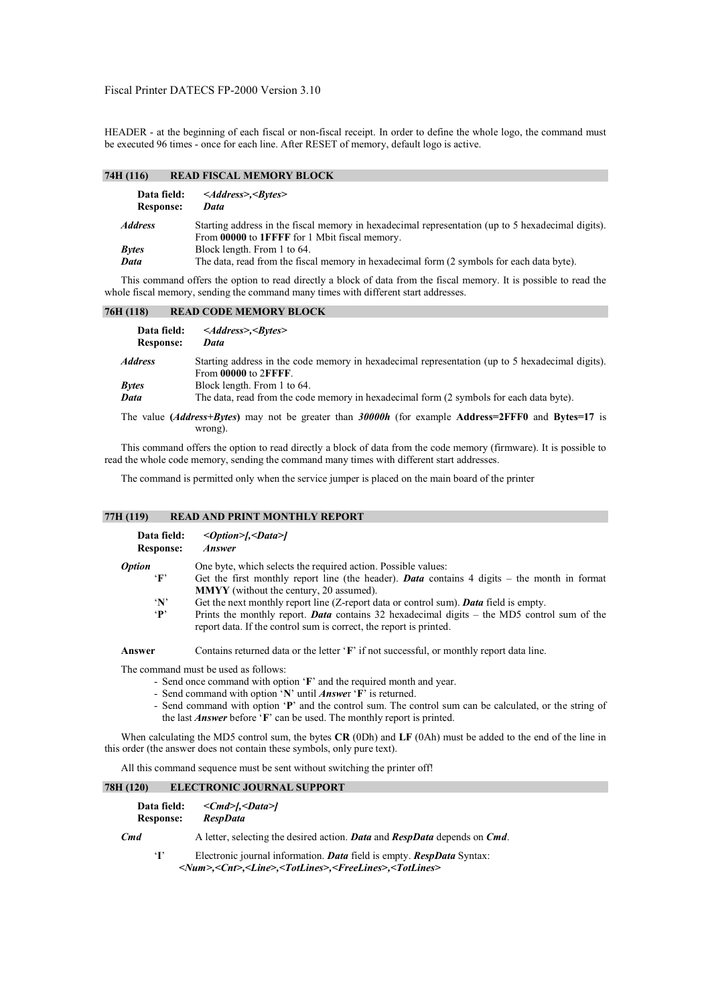HEADER - at the beginning of each fiscal or non-fiscal receipt. In order to define the whole logo, the command must be executed 96 times - once for each line. After RESET of memory, default logo is active.

# **74H (116) READ FISCAL MEMORY BLOCK**

| Data field:<br><b>Response:</b> | $\leq$ Address>, $\leq$ Bytes><br>Data                                                                                                             |
|---------------------------------|----------------------------------------------------------------------------------------------------------------------------------------------------|
| <i><b>Address</b></i>           | Starting address in the fiscal memory in hexadecimal representation (up to 5 hexadecimal digits).<br>From 00000 to 1FFFF for 1 Mbit fiscal memory. |
| <b>Bytes</b>                    | Block length. From 1 to 64.                                                                                                                        |
| Data                            | The data, read from the fiscal memory in hexadecimal form (2 symbols for each data byte).                                                          |

This command offers the option to read directly a block of data from the fiscal memory. It is possible to read the whole fiscal memory, sending the command many times with different start addresses.

# **76H (118) READ CODE MEMORY BLOCK**

| Data field:<br><b>Response:</b> | $\leq$ Address>, $\leq$ Bytes><br>Data                                                                                  |
|---------------------------------|-------------------------------------------------------------------------------------------------------------------------|
| <b>Address</b>                  | Starting address in the code memory in hexadecimal representation (up to 5 hexadecimal digits).<br>From 00000 to 2FFFF. |
| <b>Bytes</b>                    | Block length. From 1 to 64.                                                                                             |
| Data                            | The data, read from the code memory in hexadecimal form (2 symbols for each data byte).                                 |
|                                 | The value ( <i>Address+Bytes</i> ) may not be greater than 30000h (for example Address=2FFF0 and Bytes=17 is<br>wrong). |

This command offers the option to read directly a block of data from the code memory (firmware). It is possible to read the whole code memory, sending the command many times with different start addresses.

The command is permitted only when the service jumper is placed on the main board of the printer

# **77H (119) READ AND PRINT MONTHLY REPORT**

| Data field:<br><b>Response:</b> | $\langle$ Option>[, $\langle$ Data>]<br><i><b>Answer</b></i>                                                                                                             |
|---------------------------------|--------------------------------------------------------------------------------------------------------------------------------------------------------------------------|
| <i><b>Option</b></i>            | One byte, which selects the required action. Possible values:                                                                                                            |
| $\mathbf{F}$                    | Get the first monthly report line (the header). <b>Data</b> contains 4 digits $-$ the month in format                                                                    |
|                                 | <b>MMYY</b> (without the century, 20 assumed).                                                                                                                           |
| $\mathbf{N}$                    | Get the next monthly report line (Z-report data or control sum). <b>Data</b> field is empty.                                                                             |
| $\mathbf{P}$                    | Prints the monthly report. <b>Data</b> contains 32 hexadecimal digits – the MD5 control sum of the<br>report data. If the control sum is correct, the report is printed. |
| Answer                          | Contains returned data or the letter 'F' if not successful, or monthly report data line.                                                                                 |

The command must be used as follows:

- Send once command with option '**F**' and the required month and year.
- Send command with option '**N**' until *Answe*r '**F**' is returned.
- Send command with option '**P**' and the control sum. The control sum can be calculated, or the string of the last *Answer* before '**F**' can be used. The monthly report is printed.

When calculating the MD5 control sum, the bytes **CR** (0Dh) and **LF** (0Ah) must be added to the end of the line in this order (the answer does not contain these symbols, only pure text).

All this command sequence must be sent without switching the printer off!

# **78H (120) ELECTRONIC JOURNAL SUPPORT**

| Data field:<br><b>Response:</b> | $\langle Cmd\rangle$ [ $\langle Data\rangle$ ]<br><b>RespData</b>                                                                                                                  |
|---------------------------------|------------------------------------------------------------------------------------------------------------------------------------------------------------------------------------|
| Cmd                             | A letter, selecting the desired action. <b>Data</b> and <b>RespData</b> depends on <b>Cmd</b> .                                                                                    |
| $\mathbf{T}$                    | Electronic journal information. Data field is empty. RespData Syntax:<br><num>,<cnt>,<line>,<totlines>,<freelines>,<totlines></totlines></freelines></totlines></line></cnt></num> |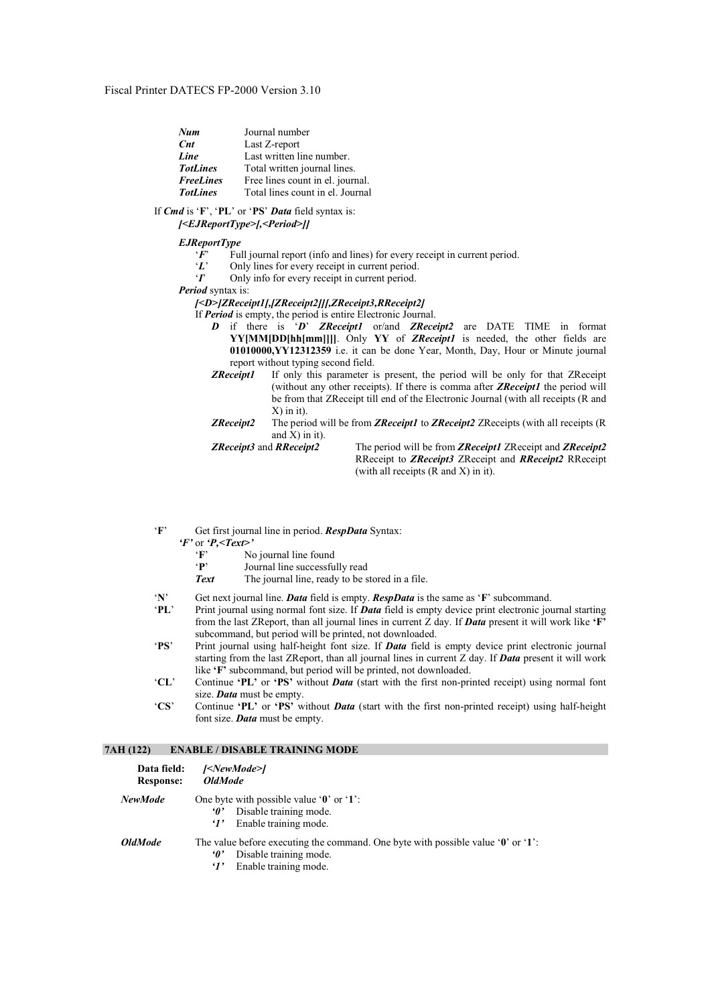| Num               | Journal number                   |
|-------------------|----------------------------------|
| $\int$ <i>Cnt</i> | Last Z-report                    |
| Line              | Last written line number.        |
| <b>TotLines</b>   | Total written journal lines.     |
| <b>FreeLines</b>  | Free lines count in el. journal. |
| <b>TotLines</b>   | Total lines count in el. Journal |

If *Cmd* is '**F**', '**PL**' or '**PS**' *Data* field syntax is:  *[<EJReportType>[,<Period>]]* 

# *EJReportType*

- *'F*' Full journal report (info and lines) for every receipt in current period.<br>'L' Only lines for every receipt in current period.
- Only lines for every receipt in current period.
- '*I*' Only info for every receipt in current period.

*Period* syntax is:

#### *[<D>]ZReceipt1[,[ZReceipt2]][,ZReceipt3,RReceipt2]*

- If *Period* is empty, the period is entire Electronic Journal.
	- *D* if there is '*D*' *ZReceipt1* or/and *ZReceipt2* are DATE TIME in format **YY[MM[DD[hh[mm]]]]**. Only **YY** of *ZReceipt1* is needed, the other fields are **01010000,YY12312359** i.e. it can be done Year, Month, Day, Hour or Minute journal report without typing second field.
	- *ZReceipt1* If only this parameter is present, the period will be only for that ZReceipt (without any other receipts). If there is comma after *ZReceipt1* the period will be from that ZReceipt till end of the Electronic Journal (with all receipts (R and X) in it).
	- *ZReceipt2* The period will be from *ZReceipt1* to *ZReceipt2* ZReceipts (with all receipts (R and  $X$ ) in it).

*ZReceipt3* and *RReceipt2* The period will be from *ZReceipt1* ZReceipt and *ZReceipt2* RReceipt to *ZReceipt3* ZReceipt and *RReceipt2* RReceipt (with all receipts (R and X) in it).

'**F**' Get first journal line in period. *RespData* Syntax:

# $\overline{F}$ ' or  $\overline{P}$ *, <Text>'* N<sub>*N*</sub>

- **'F'** No journal line found<br>**'P'** Journal line successfu
- Journal line successfully read
- **Text** The journal line, ready to be stored in a file.
- '**N**' Get next journal line. *Data* field is empty. *RespData* is the same as '**F**' subcommand.
- '**PL**' Print journal using normal font size. If *Data* field is empty device print electronic journal starting from the last ZReport, than all journal lines in current Z day. If *Data* present it will work like **'F'**  subcommand, but period will be printed, not downloaded.
- '**PS**' Print journal using half-height font size. If *Data* field is empty device print electronic journal starting from the last ZReport, than all journal lines in current Z day. If *Data* present it will work like **'F'** subcommand, but period will be printed, not downloaded.
- '**CL**' Continue **'PL'** or **'PS'** without *Data* (start with the first non-printed receipt) using normal font size. *Data* must be empty.
- '**CS**' Continue **'PL'** or **'PS'** without *Data* (start with the first non-printed receipt) using half-height font size. *Data* must be empty.

## **7AH (122) ENABLE / DISABLE TRAINING MODE**

| Data field:<br><b>Response:</b> | [ <newmode>]<br/><i><b>OldMode</b></i></newmode>                                                                                                                                       |  |
|---------------------------------|----------------------------------------------------------------------------------------------------------------------------------------------------------------------------------------|--|
| <b>NewMode</b>                  | One byte with possible value $\mathbf{0}$ or $\mathbf{1}$ .<br>Disable training mode.<br>$\boldsymbol{\theta}$<br>Enable training mode.<br>$\cdot$ r                                   |  |
| <i><b>OldMode</b></i>           | The value before executing the command. One byte with possible value $\mathbf{\hat{0}}$ or $\mathbf{\hat{1}}$ :<br>Disable training mode.<br>•о'<br>Enable training mode.<br>$\cdot$ r |  |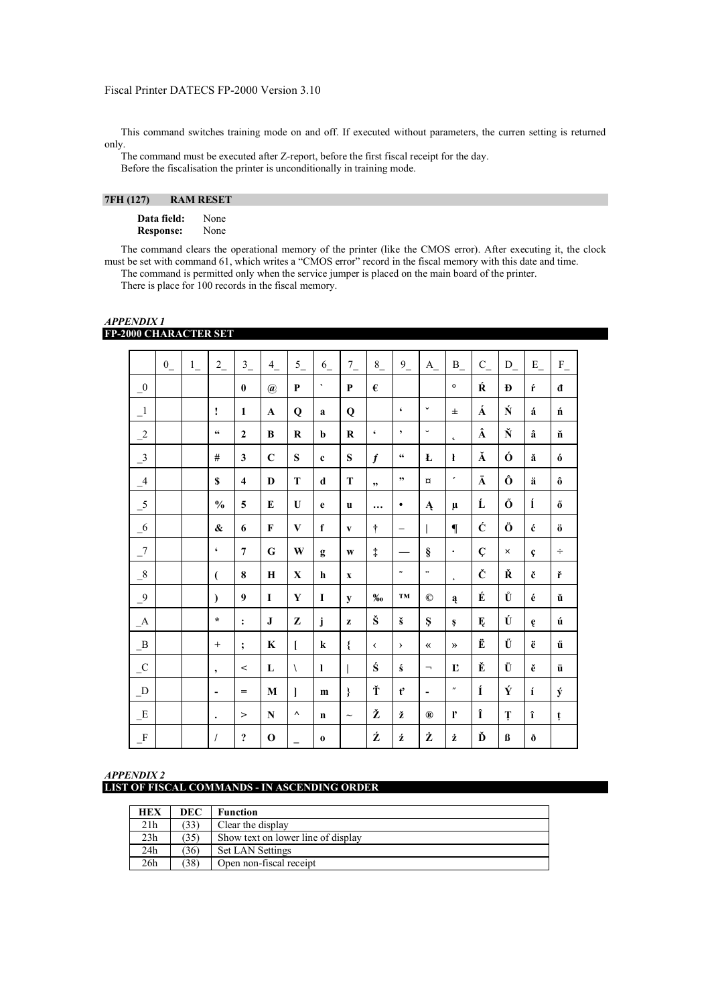This command switches training mode on and off. If executed without parameters, the curren setting is returned only.

The command must be executed after Z-report, before the first fiscal receipt for the day. Before the fiscalisation the printer is unconditionally in training mode.

# **7FH (127) RAM RESET**

**Data field:** None **Response:** None

The command clears the operational memory of the printer (like the CMOS error). After executing it, the clock must be set with command 61, which writes a "CMOS error" record in the fiscal memory with this date and time. The command is permitted only when the service jumper is placed on the main board of the printer. There is place for 100 records in the fiscal memory.

 0\_ 1\_ 2\_ 3\_ 4\_ 5\_ 6\_ 7\_ 8\_ 9\_ A\_ B\_ C\_ D\_ E\_ F\_ \_0 **0 @ P ` P € ° Ŕ Đ ŕ đ**  \_1 **! 1 A Q a Q ' ˇ ± Á Ń á ń**  \_2 **" 2 B R b R ' ' ˘ ˛ Â Ň â ň**  \_3 **# 3 C S c S ƒ " Ł ł Ă Ó ă ó**  \_4 **\$ 4 D T d T " " ¤ ´ Ä Ô ä ô**  \_5 **% 5 E U e u … • Ą µ Ĺ Ő ĺ ő**  \_6 **& 6 F V f v † – | ¶ Ć Ö ć ö**  \_7 **' 7 G W g w ‡ — § · Ç × ç ÷**  8 **| | | ( 8 H | X | h | x |**  $\cdot$  **|**  $\cdot$  **|**  $\cdot$  **|**  $\cdot$  **|**  $\cdot$  **|**  $\cdot$  **|**  $\cdot$  **|**  $\cdot$  **|**  $\cdot$  **|**  $\cdot$  **|**  $\cdot$  **|**  $\cdot$  **|**  $\cdot$  **|**  $\cdot$  **|**  $\cdot$  **|**  $\cdot$  **|**  $\cdot$  **|**  $\cdot$  **|**  $\cdot$  \_9 **) 9 I Y I y ‰ ™ © ą É Ů é ŭ**  \_A **\* : J Z j z Š š Ş ş Ę Ú ę ú**  \_B **+ ; K [ k { ‹ › « » Ë Ű ë ű**  \_C **, < L \ l | Ś ś ¬ Ľ Ě Ü ě ü**  \_D **- = M ] m } Ť ť - ˝ Í Ý í ý**   $E$  | | | |> | N | ^ | n | ~ | Ž | ž | ® | l' | Î | Ț | î | t \_F **/ ? O \_ o Ź ź Ż ż Ď ß ð** 

## *APPENDIX 1*  **FP-2000 CHARACTER SET**

| APPENDIX 2                                          |  |  |
|-----------------------------------------------------|--|--|
| <b>LIST OF FISCAL COMMANDS - IN ASCENDING ORDER</b> |  |  |

| <b>HEX</b> | <b>DEC</b> | <b>Function</b>                    |
|------------|------------|------------------------------------|
| 21h        | (33)       | Clear the display                  |
| 23h        | (35)       | Show text on lower line of display |
| 24h        | (36)       | <b>Set LAN Settings</b>            |
| 26h        | (38)       | Open non-fiscal receipt            |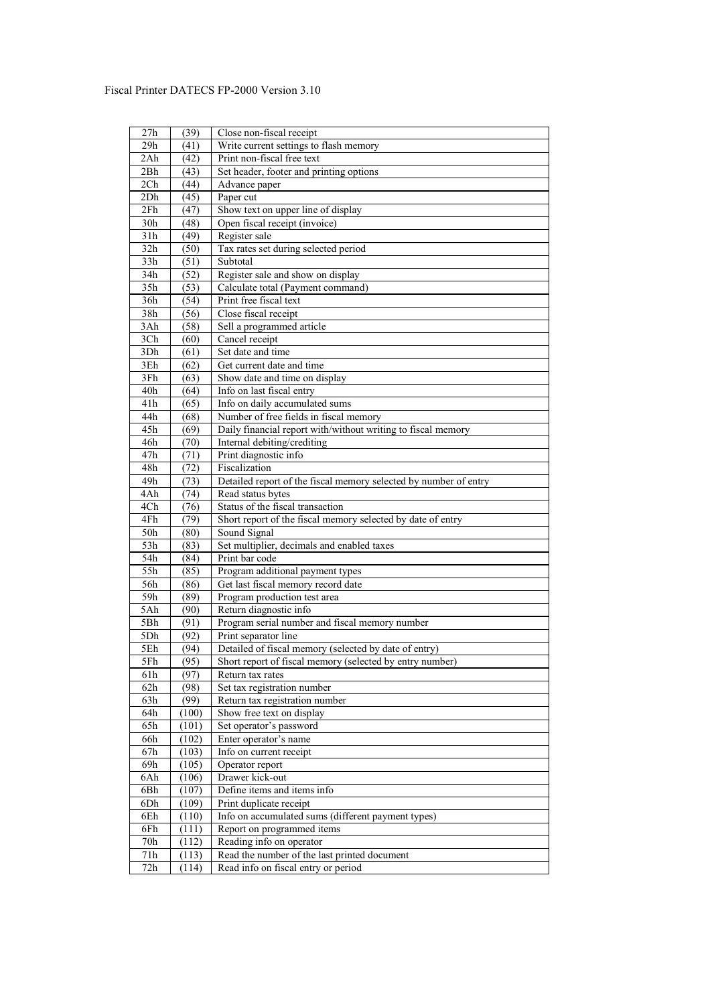| 27h              | (39)         | Close non-fiscal receipt                                                              |
|------------------|--------------|---------------------------------------------------------------------------------------|
| 29h              | (41)         | Write current settings to flash memory                                                |
| 2Ah              | (42)         | Print non-fiscal free text                                                            |
| 2Bh              | (43)         | Set header, footer and printing options                                               |
| 2Ch              | (44)         | Advance paper                                                                         |
| 2Dh              | (45)         | Paper cut                                                                             |
| 2Fh              | (47)         | Show text on upper line of display                                                    |
| 30h              | (48)         | Open fiscal receipt (invoice)                                                         |
| 31h              | (49)         | Register sale                                                                         |
| 32h              | (50)         | Tax rates set during selected period                                                  |
| 33h              | (51)         | Subtotal                                                                              |
| 34h              | (52)         | Register sale and show on display                                                     |
| 35h              | (53)         | Calculate total (Payment command)                                                     |
| 36h              | (54)         | Print free fiscal text                                                                |
| 38h              | (56)         | Close fiscal receipt                                                                  |
| 3Ah              | (58)         | Sell a programmed article                                                             |
| 3Ch              | (60)         | Cancel receipt                                                                        |
| 3Dh              | (61)         | Set date and time                                                                     |
| 3Eh              | (62)         | Get current date and time                                                             |
| 3Fh              | (63)         | Show date and time on display                                                         |
| 40h              | (64)         | Info on last fiscal entry                                                             |
| 41h              | (65)         | Info on daily accumulated sums                                                        |
| 44h              | (68)         | Number of free fields in fiscal memory                                                |
| 45h              | (69)         | Daily financial report with/without writing to fiscal memory                          |
| 46h              | (70)         | Internal debiting/crediting                                                           |
| 47h              | (71)         | Print diagnostic info                                                                 |
| 48h              |              | Fiscalization                                                                         |
| 49h              | (72)         |                                                                                       |
| 4Ah              | (73)         | Detailed report of the fiscal memory selected by number of entry<br>Read status bytes |
| 4Ch              | (74)<br>(76) | Status of the fiscal transaction                                                      |
| 4Fh              | (79)         | Short report of the fiscal memory selected by date of entry                           |
| 50h              | (80)         | Sound Signal                                                                          |
| 53h              |              | Set multiplier, decimals and enabled taxes                                            |
| 54h              | (83)<br>(84) | Print bar code                                                                        |
| 55h              | (85)         |                                                                                       |
| $\overline{56h}$ |              | Program additional payment types<br>Get last fiscal memory record date                |
|                  | (86)         |                                                                                       |
| 59h              | (89)         | Program production test area                                                          |
| 5Ah              | (90)         | Return diagnostic info                                                                |
| 5Bh              | (91)         | Program serial number and fiscal memory number                                        |
| 5Dh              | (92)         | Print separator line                                                                  |
| 5Eh              | (94)         | Detailed of fiscal memory (selected by date of entry)                                 |
| 5Fh              | (95)         | Short report of fiscal memory (selected by entry number)                              |
| 61h              | (97)         | Return tax rates                                                                      |
| 62h              | (98)         | Set tax registration number                                                           |
| 63h              | (99)         | Return tax registration number                                                        |
| 64h              | (100)        | Show free text on display                                                             |
| 65h              | (101)        | Set operator's password                                                               |
| 66h              | (102)        | Enter operator's name                                                                 |
| $67\mathrm{h}$   | (103)        | Info on current receipt                                                               |
| 69h              | (105)        | Operator report                                                                       |
| 6Ah              | (106)        | Drawer kick-out                                                                       |
| 6Bh              | (107)        | Define items and items info                                                           |
| 6Dh              | (109)        | Print duplicate receipt                                                               |
| 6Eh              | (110)        | Info on accumulated sums (different payment types)                                    |
| 6Fh              | (111)        | Report on programmed items                                                            |
| 70h              | (112)        | Reading info on operator                                                              |
| 71h              | (113)        | Read the number of the last printed document                                          |
| 72h              | (114)        | Read info on fiscal entry or period                                                   |